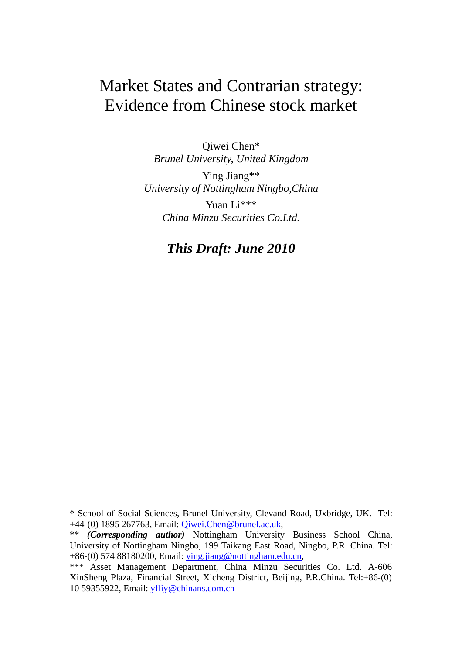# Market States and Contrarian strategy: Evidence from Chinese stock market

Qiwei Chen\* *Brunel University, United Kingdom* 

Ying Jiang\*\* *University of Nottingham Ningbo,China*  Yuan Li\*\*\* *China Minzu Securities Co.Ltd.* 

# *This Draft: June 2010*

<sup>\*</sup> School of Social Sciences, Brunel University, Clevand Road, Uxbridge, UK. Tel: +44-(0) 1895 267763, Email: Qiwei.Chen@brunel.ac.uk,

<sup>\*\*</sup> *(Corresponding author)* Nottingham University Business School China, University of Nottingham Ningbo, 199 Taikang East Road, Ningbo, P.R. China. Tel: +86-(0) 574 88180200, Email: ying.jiang@nottingham.edu.cn,

<sup>\*\*\*</sup> Asset Management Department, China Minzu Securities Co. Ltd. A-606 XinSheng Plaza, Financial Street, Xicheng District, Beijing, P.R.China. Tel:+86-(0) 10 59355922, Email: yfliy@chinans.com.cn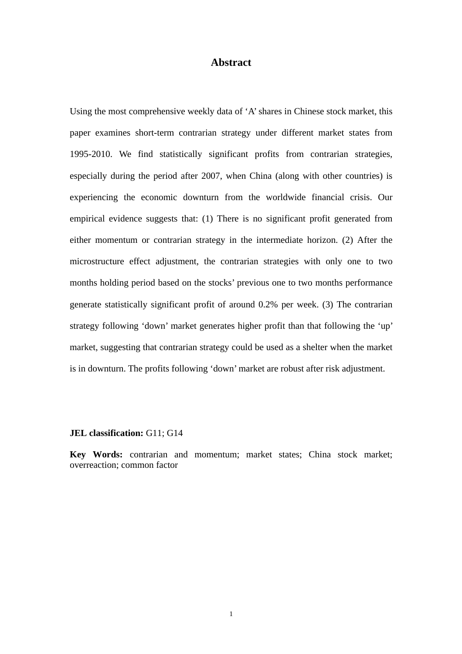## **Abstract**

Using the most comprehensive weekly data of 'A' shares in Chinese stock market, this paper examines short-term contrarian strategy under different market states from 1995-2010. We find statistically significant profits from contrarian strategies, especially during the period after 2007, when China (along with other countries) is experiencing the economic downturn from the worldwide financial crisis. Our empirical evidence suggests that: (1) There is no significant profit generated from either momentum or contrarian strategy in the intermediate horizon. (2) After the microstructure effect adjustment, the contrarian strategies with only one to two months holding period based on the stocks' previous one to two months performance generate statistically significant profit of around 0.2% per week. (3) The contrarian strategy following 'down' market generates higher profit than that following the 'up' market, suggesting that contrarian strategy could be used as a shelter when the market is in downturn. The profits following 'down' market are robust after risk adjustment.

#### **JEL classification:** G11; G14

**Key Words:** contrarian and momentum; market states; China stock market; overreaction; common factor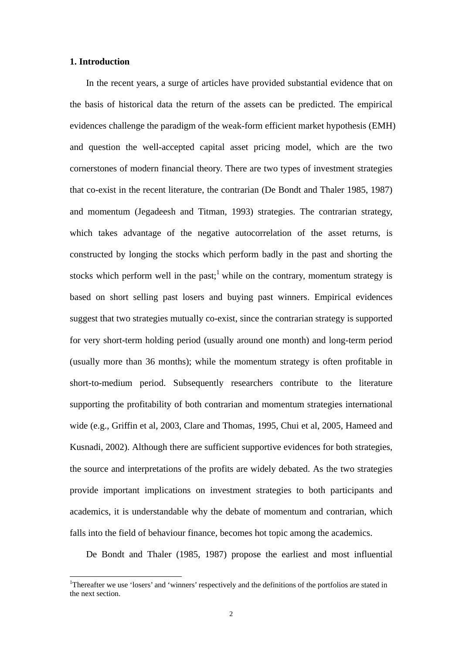#### **1. Introduction**

 $\overline{a}$ 

In the recent years, a surge of articles have provided substantial evidence that on the basis of historical data the return of the assets can be predicted. The empirical evidences challenge the paradigm of the weak-form efficient market hypothesis (EMH) and question the well-accepted capital asset pricing model, which are the two cornerstones of modern financial theory. There are two types of investment strategies that co-exist in the recent literature, the contrarian (De Bondt and Thaler 1985, 1987) and momentum (Jegadeesh and Titman, 1993) strategies. The contrarian strategy, which takes advantage of the negative autocorrelation of the asset returns, is constructed by longing the stocks which perform badly in the past and shorting the stocks which perform well in the past;<sup>1</sup> while on the contrary, momentum strategy is based on short selling past losers and buying past winners. Empirical evidences suggest that two strategies mutually co-exist, since the contrarian strategy is supported for very short-term holding period (usually around one month) and long-term period (usually more than 36 months); while the momentum strategy is often profitable in short-to-medium period. Subsequently researchers contribute to the literature supporting the profitability of both contrarian and momentum strategies international wide (e.g., Griffin et al, 2003, Clare and Thomas, 1995, Chui et al, 2005, Hameed and Kusnadi, 2002). Although there are sufficient supportive evidences for both strategies, the source and interpretations of the profits are widely debated. As the two strategies provide important implications on investment strategies to both participants and academics, it is understandable why the debate of momentum and contrarian, which falls into the field of behaviour finance, becomes hot topic among the academics.

De Bondt and Thaler (1985, 1987) propose the earliest and most influential

<sup>&</sup>lt;sup>1</sup>Thereafter we use 'losers' and 'winners' respectively and the definitions of the portfolios are stated in the next section.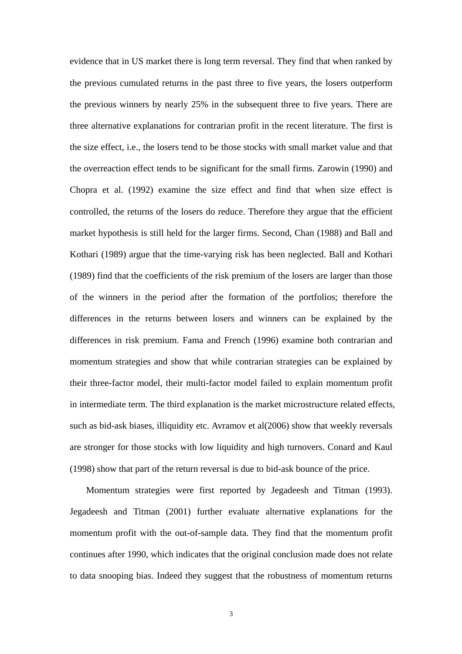evidence that in US market there is long term reversal. They find that when ranked by the previous cumulated returns in the past three to five years, the losers outperform the previous winners by nearly 25% in the subsequent three to five years. There are three alternative explanations for contrarian profit in the recent literature. The first is the size effect, i.e., the losers tend to be those stocks with small market value and that the overreaction effect tends to be significant for the small firms. Zarowin (1990) and Chopra et al. (1992) examine the size effect and find that when size effect is controlled, the returns of the losers do reduce. Therefore they argue that the efficient market hypothesis is still held for the larger firms. Second, Chan (1988) and Ball and Kothari (1989) argue that the time-varying risk has been neglected. Ball and Kothari (1989) find that the coefficients of the risk premium of the losers are larger than those of the winners in the period after the formation of the portfolios; therefore the differences in the returns between losers and winners can be explained by the differences in risk premium. Fama and French (1996) examine both contrarian and momentum strategies and show that while contrarian strategies can be explained by their three-factor model, their multi-factor model failed to explain momentum profit in intermediate term. The third explanation is the market microstructure related effects, such as bid-ask biases, illiquidity etc. Avramov et al(2006) show that weekly reversals are stronger for those stocks with low liquidity and high turnovers. Conard and Kaul (1998) show that part of the return reversal is due to bid-ask bounce of the price.

Momentum strategies were first reported by Jegadeesh and Titman (1993). Jegadeesh and Titman (2001) further evaluate alternative explanations for the momentum profit with the out-of-sample data. They find that the momentum profit continues after 1990, which indicates that the original conclusion made does not relate to data snooping bias. Indeed they suggest that the robustness of momentum returns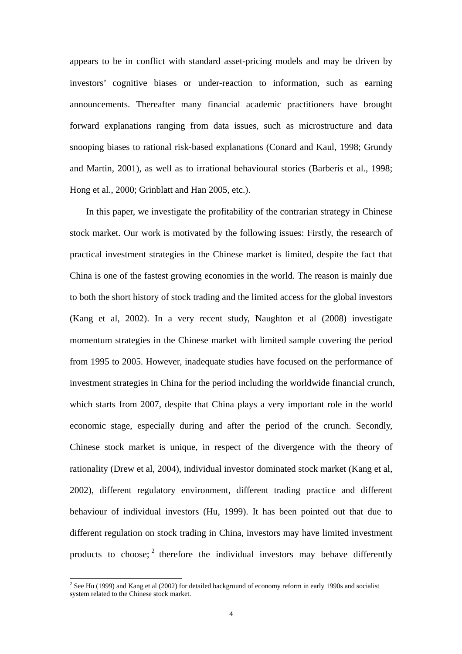appears to be in conflict with standard asset-pricing models and may be driven by investors' cognitive biases or under-reaction to information, such as earning announcements. Thereafter many financial academic practitioners have brought forward explanations ranging from data issues, such as microstructure and data snooping biases to rational risk-based explanations (Conard and Kaul, 1998; Grundy and Martin, 2001), as well as to irrational behavioural stories (Barberis et al., 1998; Hong et al., 2000; Grinblatt and Han 2005, etc.).

In this paper, we investigate the profitability of the contrarian strategy in Chinese stock market. Our work is motivated by the following issues: Firstly, the research of practical investment strategies in the Chinese market is limited, despite the fact that China is one of the fastest growing economies in the world. The reason is mainly due to both the short history of stock trading and the limited access for the global investors (Kang et al, 2002). In a very recent study, Naughton et al (2008) investigate momentum strategies in the Chinese market with limited sample covering the period from 1995 to 2005. However, inadequate studies have focused on the performance of investment strategies in China for the period including the worldwide financial crunch, which starts from 2007, despite that China plays a very important role in the world economic stage, especially during and after the period of the crunch. Secondly, Chinese stock market is unique, in respect of the divergence with the theory of rationality (Drew et al, 2004), individual investor dominated stock market (Kang et al, 2002), different regulatory environment, different trading practice and different behaviour of individual investors (Hu, 1999). It has been pointed out that due to different regulation on stock trading in China, investors may have limited investment products to choose;  $2$  therefore the individual investors may behave differently

 $\overline{a}$ 

 $2^2$  See Hu (1999) and Kang et al (2002) for detailed background of economy reform in early 1990s and socialist system related to the Chinese stock market.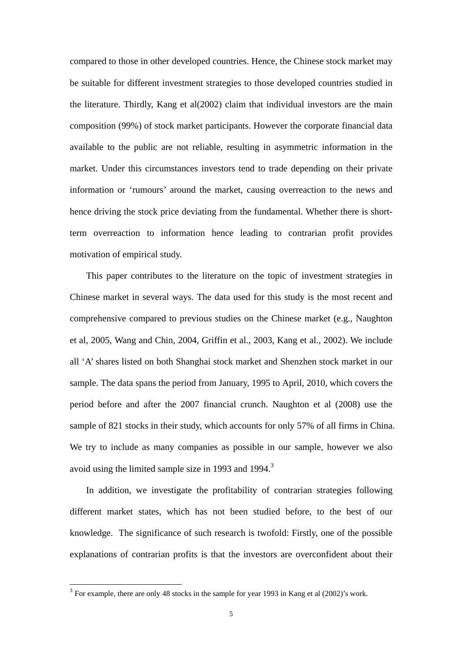compared to those in other developed countries. Hence, the Chinese stock market may be suitable for different investment strategies to those developed countries studied in the literature. Thirdly, Kang et al(2002) claim that individual investors are the main composition (99%) of stock market participants. However the corporate financial data available to the public are not reliable, resulting in asymmetric information in the market. Under this circumstances investors tend to trade depending on their private information or 'rumours' around the market, causing overreaction to the news and hence driving the stock price deviating from the fundamental. Whether there is shortterm overreaction to information hence leading to contrarian profit provides motivation of empirical study.

This paper contributes to the literature on the topic of investment strategies in Chinese market in several ways. The data used for this study is the most recent and comprehensive compared to previous studies on the Chinese market (e.g., Naughton et al, 2005, Wang and Chin, 2004, Griffin et al., 2003, Kang et al., 2002). We include all 'A' shares listed on both Shanghai stock market and Shenzhen stock market in our sample. The data spans the period from January, 1995 to April, 2010, which covers the period before and after the 2007 financial crunch. Naughton et al (2008) use the sample of 821 stocks in their study, which accounts for only 57% of all firms in China. We try to include as many companies as possible in our sample, however we also avoid using the limited sample size in 1993 and 1994.<sup>3</sup>

In addition, we investigate the profitability of contrarian strategies following different market states, which has not been studied before, to the best of our knowledge. The significance of such research is twofold: Firstly, one of the possible explanations of contrarian profits is that the investors are overconfident about their

 $\overline{a}$ 

 $3$  For example, there are only 48 stocks in the sample for year 1993 in Kang et al (2002)'s work.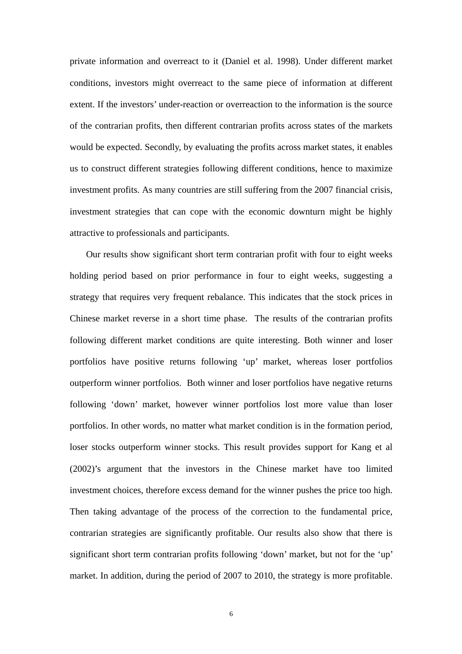private information and overreact to it (Daniel et al. 1998). Under different market conditions, investors might overreact to the same piece of information at different extent. If the investors' under-reaction or overreaction to the information is the source of the contrarian profits, then different contrarian profits across states of the markets would be expected. Secondly, by evaluating the profits across market states, it enables us to construct different strategies following different conditions, hence to maximize investment profits. As many countries are still suffering from the 2007 financial crisis, investment strategies that can cope with the economic downturn might be highly attractive to professionals and participants.

Our results show significant short term contrarian profit with four to eight weeks holding period based on prior performance in four to eight weeks, suggesting a strategy that requires very frequent rebalance. This indicates that the stock prices in Chinese market reverse in a short time phase. The results of the contrarian profits following different market conditions are quite interesting. Both winner and loser portfolios have positive returns following 'up' market, whereas loser portfolios outperform winner portfolios. Both winner and loser portfolios have negative returns following 'down' market, however winner portfolios lost more value than loser portfolios. In other words, no matter what market condition is in the formation period, loser stocks outperform winner stocks. This result provides support for Kang et al (2002)'s argument that the investors in the Chinese market have too limited investment choices, therefore excess demand for the winner pushes the price too high. Then taking advantage of the process of the correction to the fundamental price, contrarian strategies are significantly profitable. Our results also show that there is significant short term contrarian profits following 'down' market, but not for the 'up' market. In addition, during the period of 2007 to 2010, the strategy is more profitable.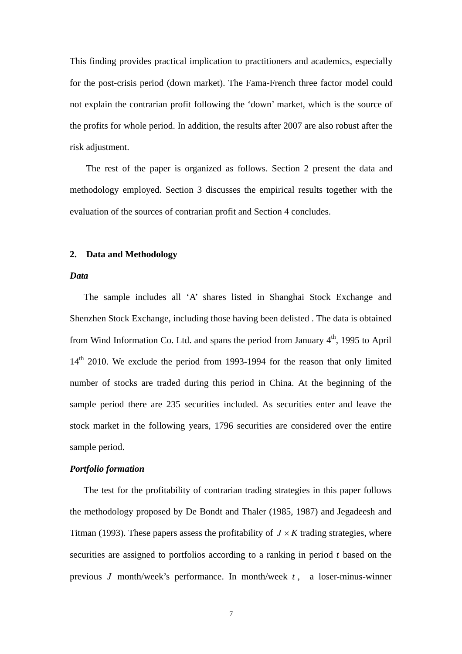This finding provides practical implication to practitioners and academics, especially for the post-crisis period (down market). The Fama-French three factor model could not explain the contrarian profit following the 'down' market, which is the source of the profits for whole period. In addition, the results after 2007 are also robust after the risk adjustment.

The rest of the paper is organized as follows. Section 2 present the data and methodology employed. Section 3 discusses the empirical results together with the evaluation of the sources of contrarian profit and Section 4 concludes.

#### **2. Data and Methodology**

#### *Data*

The sample includes all 'A' shares listed in Shanghai Stock Exchange and Shenzhen Stock Exchange, including those having been delisted . The data is obtained from Wind Information Co. Ltd. and spans the period from January  $4<sup>th</sup>$ , 1995 to April  $14<sup>th</sup>$  2010. We exclude the period from 1993-1994 for the reason that only limited number of stocks are traded during this period in China. At the beginning of the sample period there are 235 securities included. As securities enter and leave the stock market in the following years, 1796 securities are considered over the entire sample period.

#### *Portfolio formation*

The test for the profitability of contrarian trading strategies in this paper follows the methodology proposed by De Bondt and Thaler (1985, 1987) and Jegadeesh and Titman (1993). These papers assess the profitability of  $J \times K$  trading strategies, where securities are assigned to portfolios according to a ranking in period *t* based on the previous *J* month/week's performance. In month/week *t* , a loser-minus-winner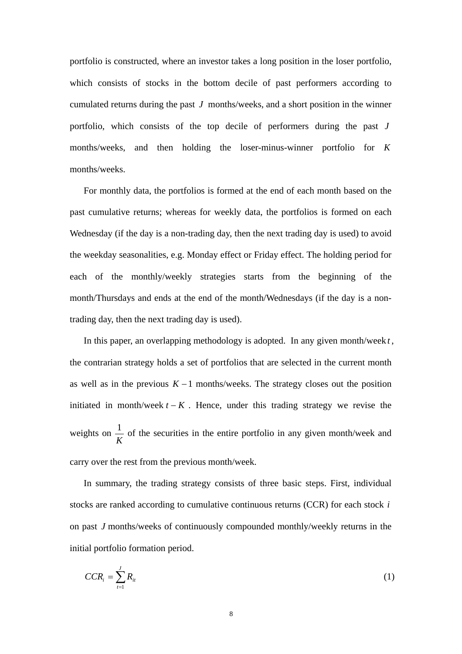portfolio is constructed, where an investor takes a long position in the loser portfolio, which consists of stocks in the bottom decile of past performers according to cumulated returns during the past *J* months/weeks, and a short position in the winner portfolio, which consists of the top decile of performers during the past *J* months/weeks, and then holding the loser-minus-winner portfolio for *K* months/weeks.

For monthly data, the portfolios is formed at the end of each month based on the past cumulative returns; whereas for weekly data, the portfolios is formed on each Wednesday (if the day is a non-trading day, then the next trading day is used) to avoid the weekday seasonalities, e.g. Monday effect or Friday effect. The holding period for each of the monthly/weekly strategies starts from the beginning of the month/Thursdays and ends at the end of the month/Wednesdays (if the day is a nontrading day, then the next trading day is used).

In this paper, an overlapping methodology is adopted. In any given month/week *t* , the contrarian strategy holds a set of portfolios that are selected in the current month as well as in the previous *K* −1 months/weeks. The strategy closes out the position initiated in month/week  $t - K$ . Hence, under this trading strategy we revise the weights on  $\frac{1}{K}$  of the securities in the entire portfolio in any given month/week and carry over the rest from the previous month/week.

In summary, the trading strategy consists of three basic steps. First, individual stocks are ranked according to cumulative continuous returns (CCR) for each stock *i* on past *J* months/weeks of continuously compounded monthly/weekly returns in the initial portfolio formation period.

$$
CCR_i = \sum_{t=1}^{J} R_{it} \tag{1}
$$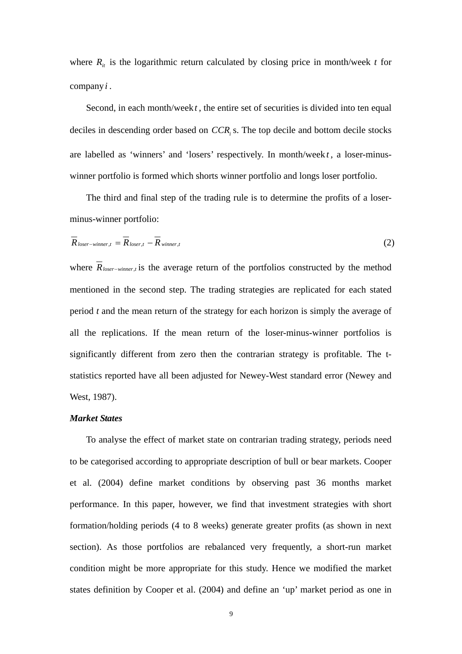where  $R_{it}$  is the logarithmic return calculated by closing price in month/week *t* for company*i* .

Second, in each month/week *t*, the entire set of securities is divided into ten equal deciles in descending order based on *CCR*<sub>i</sub> s. The top decile and bottom decile stocks are labelled as 'winners' and 'losers' respectively. In month/week *t* , a loser-minuswinner portfolio is formed which shorts winner portfolio and longs loser portfolio.

The third and final step of the trading rule is to determine the profits of a loserminus-winner portfolio:

$$
\overline{R}_{\text{loser}-\text{winner},t} = \overline{R}_{\text{loser},t} - \overline{R}_{\text{winner},t}
$$
\n(2)

where *Rloser*<sup>−</sup>*winner*,*<sup>t</sup>* is the average return of the portfolios constructed by the method mentioned in the second step. The trading strategies are replicated for each stated period *t* and the mean return of the strategy for each horizon is simply the average of all the replications. If the mean return of the loser-minus-winner portfolios is significantly different from zero then the contrarian strategy is profitable. The tstatistics reported have all been adjusted for Newey-West standard error (Newey and West, 1987).

#### *Market States*

To analyse the effect of market state on contrarian trading strategy, periods need to be categorised according to appropriate description of bull or bear markets. Cooper et al. (2004) define market conditions by observing past 36 months market performance. In this paper, however, we find that investment strategies with short formation/holding periods (4 to 8 weeks) generate greater profits (as shown in next section). As those portfolios are rebalanced very frequently, a short-run market condition might be more appropriate for this study. Hence we modified the market states definition by Cooper et al. (2004) and define an 'up' market period as one in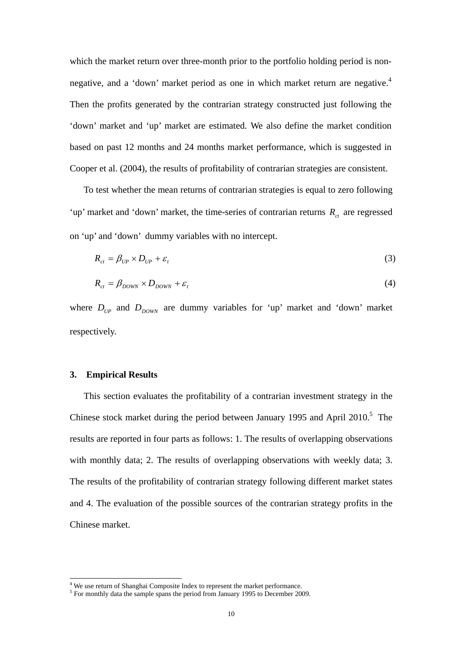which the market return over three-month prior to the portfolio holding period is nonnegative, and a 'down' market period as one in which market return are negative.<sup>4</sup> Then the profits generated by the contrarian strategy constructed just following the 'down' market and 'up' market are estimated. We also define the market condition based on past 12 months and 24 months market performance, which is suggested in Cooper et al. (2004), the results of profitability of contrarian strategies are consistent.

To test whether the mean returns of contrarian strategies is equal to zero following 'up' market and 'down' market, the time-series of contrarian returns  $R_{ct}$  are regressed on 'up' and 'down' dummy variables with no intercept.

$$
R_{ct} = \beta_{UP} \times D_{UP} + \varepsilon_t \tag{3}
$$

$$
R_{ct} = \beta_{DOWN} \times D_{DOWN} + \varepsilon_t \tag{4}
$$

where  $D_{UP}$  and  $D_{DOWN}$  are dummy variables for 'up' market and 'down' market respectively.

#### **3. Empirical Results**

This section evaluates the profitability of a contrarian investment strategy in the Chinese stock market during the period between January 1995 and April  $2010$ .<sup>5</sup> The results are reported in four parts as follows: 1. The results of overlapping observations with monthly data; 2. The results of overlapping observations with weekly data; 3. The results of the profitability of contrarian strategy following different market states and 4. The evaluation of the possible sources of the contrarian strategy profits in the Chinese market.

<sup>&</sup>lt;sup>4</sup><br>We use return of Shanghai Composite Index to represent the market performance.<br><sup>5</sup> For monthly data the sample appre the pariod from January 1005 to December 200

 $\frac{5}{10}$  For monthly data the sample spans the period from January 1995 to December 2009.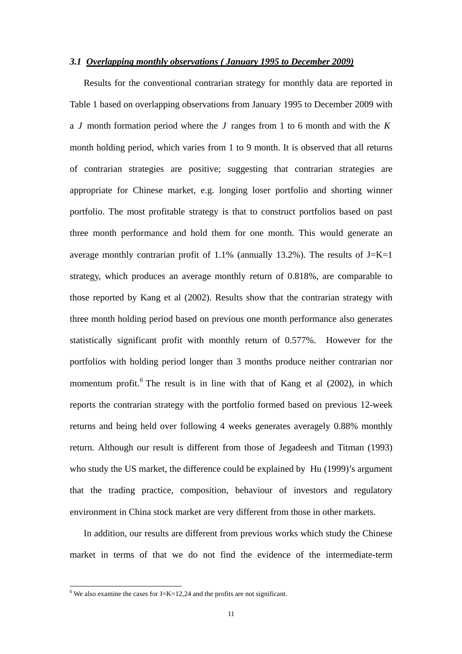#### *3.1 Overlapping monthly observations ( January 1995 to December 2009)*

Results for the conventional contrarian strategy for monthly data are reported in Table 1 based on overlapping observations from January 1995 to December 2009 with a *J* month formation period where the *J* ranges from 1 to 6 month and with the *K* month holding period, which varies from 1 to 9 month. It is observed that all returns of contrarian strategies are positive; suggesting that contrarian strategies are appropriate for Chinese market, e.g. longing loser portfolio and shorting winner portfolio. The most profitable strategy is that to construct portfolios based on past three month performance and hold them for one month. This would generate an average monthly contrarian profit of 1.1% (annually 13.2%). The results of  $J=K=1$ strategy, which produces an average monthly return of 0.818%, are comparable to those reported by Kang et al (2002). Results show that the contrarian strategy with three month holding period based on previous one month performance also generates statistically significant profit with monthly return of 0.577%. However for the portfolios with holding period longer than 3 months produce neither contrarian nor momentum profit.<sup>6</sup> The result is in line with that of Kang et al (2002), in which reports the contrarian strategy with the portfolio formed based on previous 12-week returns and being held over following 4 weeks generates averagely 0.88% monthly return. Although our result is different from those of Jegadeesh and Titman (1993) who study the US market, the difference could be explained by Hu (1999)'s argument that the trading practice, composition, behaviour of investors and regulatory environment in China stock market are very different from those in other markets.

In addition, our results are different from previous works which study the Chinese market in terms of that we do not find the evidence of the intermediate-term

 $\frac{6}{6}$  We also examine the cases for J=K=12,24 and the profits are not significant.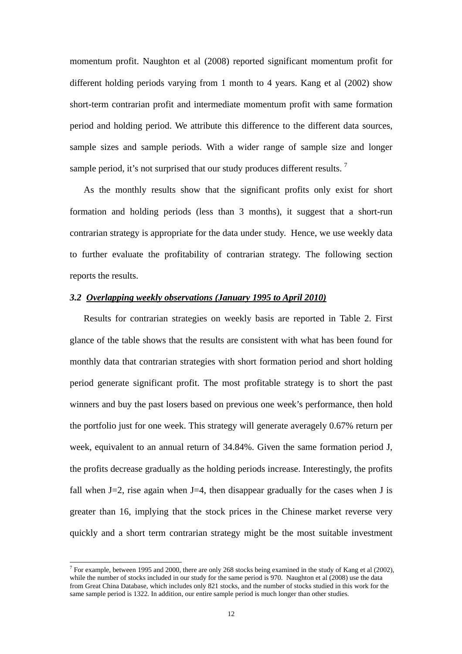momentum profit. Naughton et al (2008) reported significant momentum profit for different holding periods varying from 1 month to 4 years. Kang et al (2002) show short-term contrarian profit and intermediate momentum profit with same formation period and holding period. We attribute this difference to the different data sources, sample sizes and sample periods. With a wider range of sample size and longer sample period, it's not surprised that our study produces different results.  $\frac{7}{1}$ 

As the monthly results show that the significant profits only exist for short formation and holding periods (less than 3 months), it suggest that a short-run contrarian strategy is appropriate for the data under study. Hence, we use weekly data to further evaluate the profitability of contrarian strategy. The following section reports the results.

#### *3.2 Overlapping weekly observations (January 1995 to April 2010)*

Results for contrarian strategies on weekly basis are reported in Table 2. First glance of the table shows that the results are consistent with what has been found for monthly data that contrarian strategies with short formation period and short holding period generate significant profit. The most profitable strategy is to short the past winners and buy the past losers based on previous one week's performance, then hold the portfolio just for one week. This strategy will generate averagely 0.67% return per week, equivalent to an annual return of 34.84%. Given the same formation period J, the profits decrease gradually as the holding periods increase. Interestingly, the profits fall when  $J=2$ , rise again when  $J=4$ , then disappear gradually for the cases when J is greater than 16, implying that the stock prices in the Chinese market reverse very quickly and a short term contrarian strategy might be the most suitable investment

<sup>&</sup>lt;sup>7</sup> For example, between 1995 and 2000, there are only 268 stocks being examined in the study of Kang et al (2002), while the number of stocks included in our study for the same period is 970. Naughton et al (2008) use the data from Great China Database, which includes only 821 stocks, and the number of stocks studied in this work for the same sample period is 1322. In addition, our entire sample period is much longer than other studies.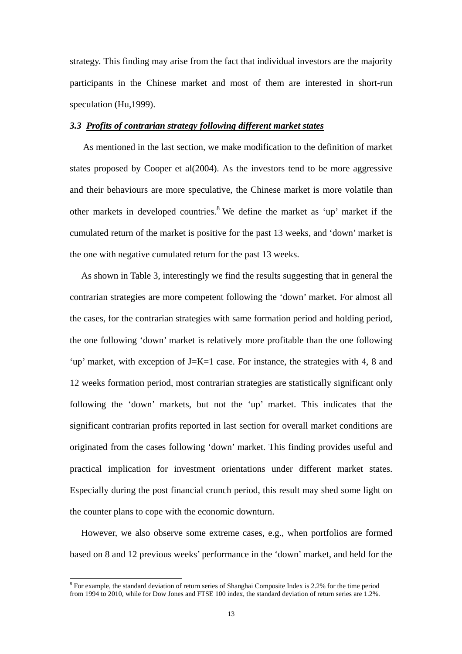strategy. This finding may arise from the fact that individual investors are the majority participants in the Chinese market and most of them are interested in short-run speculation (Hu,1999).

#### *3.3 Profits of contrarian strategy following different market states*

 As mentioned in the last section, we make modification to the definition of market states proposed by Cooper et al $(2004)$ . As the investors tend to be more aggressive and their behaviours are more speculative, the Chinese market is more volatile than other markets in developed countries.<sup>8</sup> We define the market as 'up' market if the cumulated return of the market is positive for the past 13 weeks, and 'down' market is the one with negative cumulated return for the past 13 weeks.

As shown in Table 3, interestingly we find the results suggesting that in general the contrarian strategies are more competent following the 'down' market. For almost all the cases, for the contrarian strategies with same formation period and holding period, the one following 'down' market is relatively more profitable than the one following 'up' market, with exception of  $J=K=1$  case. For instance, the strategies with 4, 8 and 12 weeks formation period, most contrarian strategies are statistically significant only following the 'down' markets, but not the 'up' market. This indicates that the significant contrarian profits reported in last section for overall market conditions are originated from the cases following 'down' market. This finding provides useful and practical implication for investment orientations under different market states. Especially during the post financial crunch period, this result may shed some light on the counter plans to cope with the economic downturn.

However, we also observe some extreme cases, e.g., when portfolios are formed based on 8 and 12 previous weeks' performance in the 'down' market, and held for the

 $\overline{a}$ 

<sup>&</sup>lt;sup>8</sup> For example, the standard deviation of return series of Shanghai Composite Index is 2.2% for the time period from 1994 to 2010, while for Dow Jones and FTSE 100 index, the standard deviation of return series are 1.2%.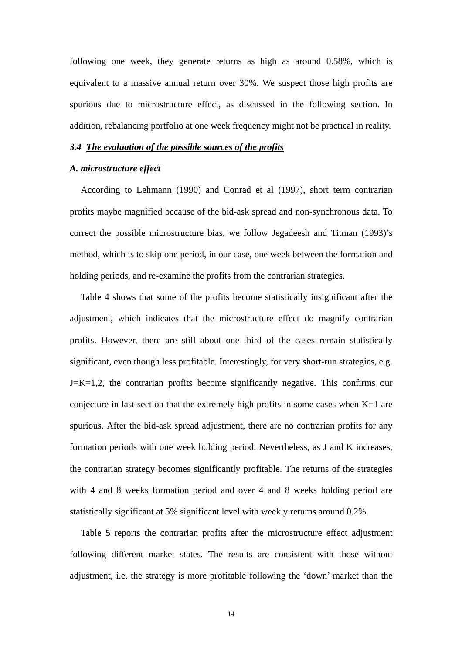following one week, they generate returns as high as around 0.58%, which is equivalent to a massive annual return over 30%. We suspect those high profits are spurious due to microstructure effect, as discussed in the following section. In addition, rebalancing portfolio at one week frequency might not be practical in reality.

#### *3.4 The evaluation of the possible sources of the profits*

#### *A. microstructure effect*

According to Lehmann (1990) and Conrad et al (1997), short term contrarian profits maybe magnified because of the bid-ask spread and non-synchronous data. To correct the possible microstructure bias, we follow Jegadeesh and Titman (1993)'s method, which is to skip one period, in our case, one week between the formation and holding periods, and re-examine the profits from the contrarian strategies.

Table 4 shows that some of the profits become statistically insignificant after the adjustment, which indicates that the microstructure effect do magnify contrarian profits. However, there are still about one third of the cases remain statistically significant, even though less profitable. Interestingly, for very short-run strategies, e.g. J=K=1,2, the contrarian profits become significantly negative. This confirms our conjecture in last section that the extremely high profits in some cases when  $K=1$  are spurious. After the bid-ask spread adjustment, there are no contrarian profits for any formation periods with one week holding period. Nevertheless, as J and K increases, the contrarian strategy becomes significantly profitable. The returns of the strategies with 4 and 8 weeks formation period and over 4 and 8 weeks holding period are statistically significant at 5% significant level with weekly returns around 0.2%.

Table 5 reports the contrarian profits after the microstructure effect adjustment following different market states. The results are consistent with those without adjustment, i.e. the strategy is more profitable following the 'down' market than the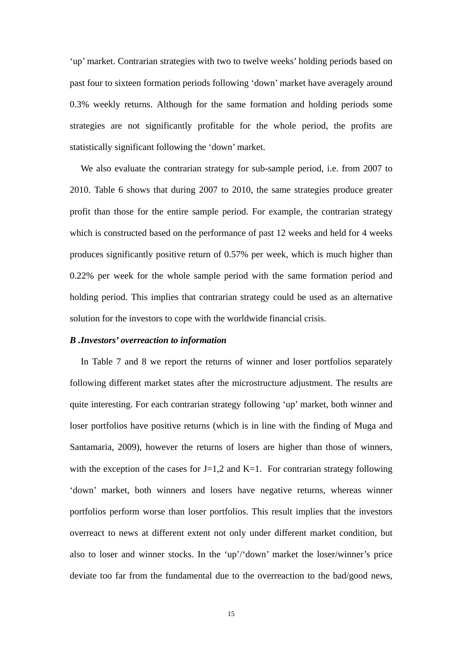'up' market. Contrarian strategies with two to twelve weeks' holding periods based on past four to sixteen formation periods following 'down' market have averagely around 0.3% weekly returns. Although for the same formation and holding periods some strategies are not significantly profitable for the whole period, the profits are statistically significant following the 'down' market.

We also evaluate the contrarian strategy for sub-sample period, i.e. from 2007 to 2010. Table 6 shows that during 2007 to 2010, the same strategies produce greater profit than those for the entire sample period. For example, the contrarian strategy which is constructed based on the performance of past 12 weeks and held for 4 weeks produces significantly positive return of 0.57% per week, which is much higher than 0.22% per week for the whole sample period with the same formation period and holding period. This implies that contrarian strategy could be used as an alternative solution for the investors to cope with the worldwide financial crisis.

#### *B .Investors' overreaction to information*

In Table 7 and 8 we report the returns of winner and loser portfolios separately following different market states after the microstructure adjustment. The results are quite interesting. For each contrarian strategy following 'up' market, both winner and loser portfolios have positive returns (which is in line with the finding of Muga and Santamaria, 2009), however the returns of losers are higher than those of winners, with the exception of the cases for  $J=1,2$  and  $K=1$ . For contrarian strategy following 'down' market, both winners and losers have negative returns, whereas winner portfolios perform worse than loser portfolios. This result implies that the investors overreact to news at different extent not only under different market condition, but also to loser and winner stocks. In the 'up'/'down' market the loser/winner's price deviate too far from the fundamental due to the overreaction to the bad/good news,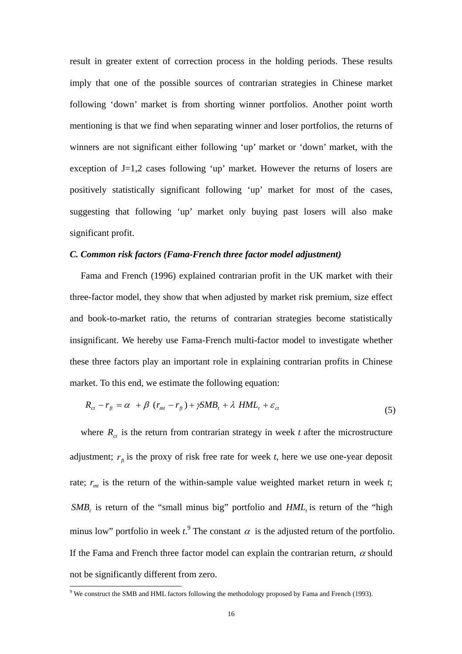result in greater extent of correction process in the holding periods. These results imply that one of the possible sources of contrarian strategies in Chinese market following 'down' market is from shorting winner portfolios. Another point worth mentioning is that we find when separating winner and loser portfolios, the returns of winners are not significant either following 'up' market or 'down' market, with the exception of J=1,2 cases following 'up' market. However the returns of losers are positively statistically significant following 'up' market for most of the cases, suggesting that following 'up' market only buying past losers will also make significant profit.

#### *C. Common risk factors (Fama-French three factor model adjustment)*

Fama and French (1996) explained contrarian profit in the UK market with their three-factor model, they show that when adjusted by market risk premium, size effect and book-to-market ratio, the returns of contrarian strategies become statistically insignificant. We hereby use Fama-French multi-factor model to investigate whether these three factors play an important role in explaining contrarian profits in Chinese market. To this end, we estimate the following equation:

$$
R_{ct} - r_{ft} = \alpha + \beta (r_{mt} - r_{ft}) + \gamma SMB_t + \lambda HML_t + \varepsilon_{ct}
$$
\n(5)

where  $R_{ct}$  is the return from contrarian strategy in week *t* after the microstructure adjustment;  $r<sub>f</sub>$  is the proxy of risk free rate for week *t*, here we use one-year deposit rate;  $r_{mt}$  is the return of the within-sample value weighted market return in week *t*;  $SMB_t$  is return of the "small minus big" portfolio and  $HML$ , is return of the "high minus low" portfolio in week  $t$ <sup>9</sup>. The constant  $\alpha$  is the adjusted return of the portfolio. If the Fama and French three factor model can explain the contrarian return,  $\alpha$  should not be significantly different from zero.

 9 We construct the SMB and HML factors following the methodology proposed by Fama and French (1993).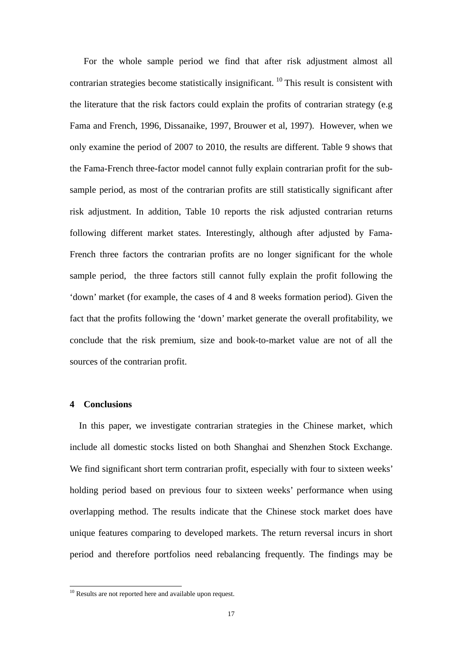For the whole sample period we find that after risk adjustment almost all contrarian strategies become statistically insignificant. 10 This result is consistent with the literature that the risk factors could explain the profits of contrarian strategy (e.g Fama and French, 1996, Dissanaike, 1997, Brouwer et al, 1997). However, when we only examine the period of 2007 to 2010, the results are different. Table 9 shows that the Fama-French three-factor model cannot fully explain contrarian profit for the subsample period, as most of the contrarian profits are still statistically significant after risk adjustment. In addition, Table 10 reports the risk adjusted contrarian returns following different market states. Interestingly, although after adjusted by Fama-French three factors the contrarian profits are no longer significant for the whole sample period, the three factors still cannot fully explain the profit following the 'down' market (for example, the cases of 4 and 8 weeks formation period). Given the fact that the profits following the 'down' market generate the overall profitability, we conclude that the risk premium, size and book-to-market value are not of all the sources of the contrarian profit.

## **4 Conclusions**

 $\overline{a}$ 

In this paper, we investigate contrarian strategies in the Chinese market, which include all domestic stocks listed on both Shanghai and Shenzhen Stock Exchange. We find significant short term contrarian profit, especially with four to sixteen weeks' holding period based on previous four to sixteen weeks' performance when using overlapping method. The results indicate that the Chinese stock market does have unique features comparing to developed markets. The return reversal incurs in short period and therefore portfolios need rebalancing frequently. The findings may be

 $10$  Results are not reported here and available upon request.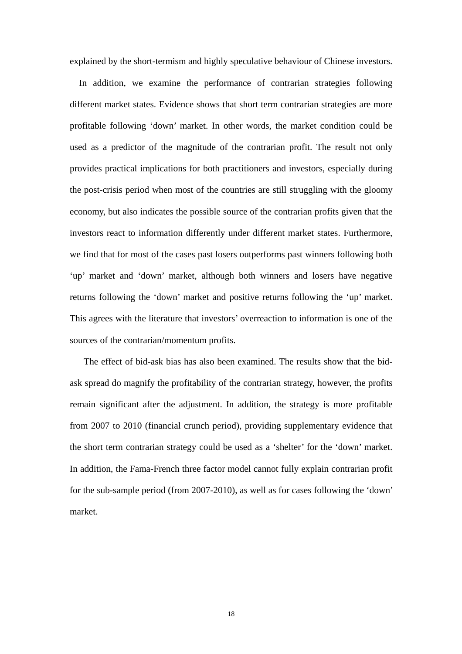explained by the short-termism and highly speculative behaviour of Chinese investors.

In addition, we examine the performance of contrarian strategies following different market states. Evidence shows that short term contrarian strategies are more profitable following 'down' market. In other words, the market condition could be used as a predictor of the magnitude of the contrarian profit. The result not only provides practical implications for both practitioners and investors, especially during the post-crisis period when most of the countries are still struggling with the gloomy economy, but also indicates the possible source of the contrarian profits given that the investors react to information differently under different market states. Furthermore, we find that for most of the cases past losers outperforms past winners following both 'up' market and 'down' market, although both winners and losers have negative returns following the 'down' market and positive returns following the 'up' market. This agrees with the literature that investors' overreaction to information is one of the sources of the contrarian/momentum profits.

The effect of bid-ask bias has also been examined. The results show that the bidask spread do magnify the profitability of the contrarian strategy, however, the profits remain significant after the adjustment. In addition, the strategy is more profitable from 2007 to 2010 (financial crunch period), providing supplementary evidence that the short term contrarian strategy could be used as a 'shelter' for the 'down' market. In addition, the Fama-French three factor model cannot fully explain contrarian profit for the sub-sample period (from 2007-2010), as well as for cases following the 'down' market.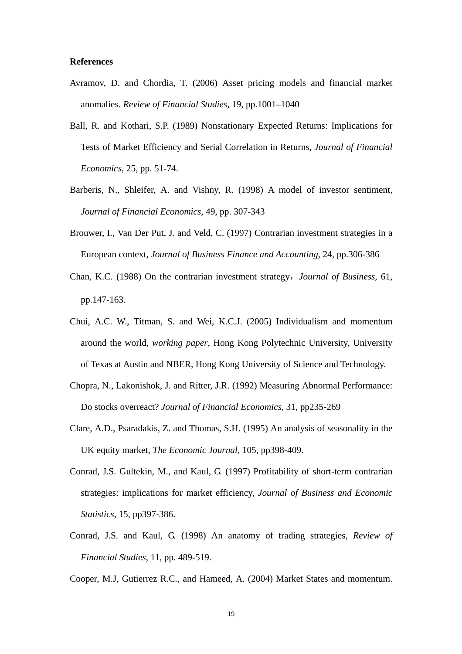#### **References**

- Avramov, D. and Chordia, T. (2006) Asset pricing models and financial market anomalies. *Review of Financial Studies,* 19, pp.1001–1040
- Ball, R. and Kothari, S.P. (1989) Nonstationary Expected Returns: Implications for Tests of Market Efficiency and Serial Correlation in Returns, *Journal of Financial Economics*, 25, pp. 51-74.
- Barberis, N., Shleifer, A. and Vishny, R. (1998) A model of investor sentiment, *Journal of Financial Economics*, 49, pp. 307-343
- Brouwer, I., Van Der Put, J. and Veld, C. (1997) Contrarian investment strategies in a European context, *Journal of Business Finance and Accounting*, 24, pp.306-386
- Chan, K.C. (1988) On the contrarian investment strategy,*Journal of Business*, 61, pp.147-163.
- Chui, A.C. W., Titman, S. and Wei, K.C.J. (2005) Individualism and momentum around the world, *working paper*, Hong Kong Polytechnic University, University of Texas at Austin and NBER, Hong Kong University of Science and Technology.
- Chopra, N., Lakonishok, J. and Ritter, J.R. (1992) Measuring Abnormal Performance: Do stocks overreact? *Journal of Financial Economics*, 31, pp235-269
- Clare, A.D., Psaradakis, Z. and Thomas, S.H. (1995) An analysis of seasonality in the UK equity market, *The Economic Journal*, 105, pp398-409.
- Conrad, J.S. Gultekin, M., and Kaul, G. (1997) Profitability of short-term contrarian strategies: implications for market efficiency, *Journal of Business and Economic Statistics*, 15, pp397-386.
- Conrad, J.S. and Kaul, G. (1998) An anatomy of trading strategies, *Review of Financial Studies*, 11, pp. 489-519.

Cooper, M.J, Gutierrez R.C., and Hameed, A. (2004) Market States and momentum.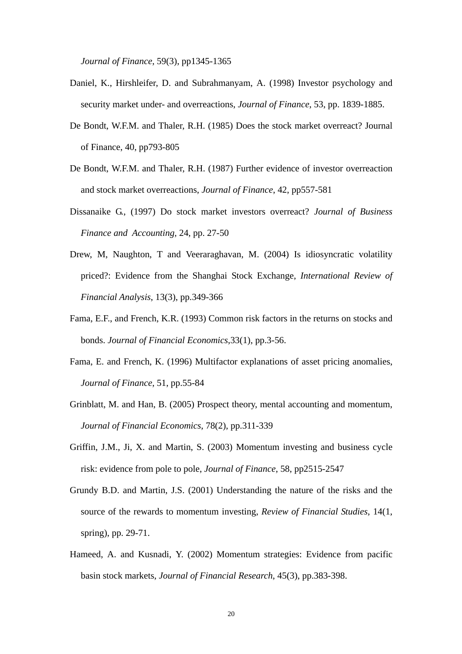*Journal of Finance*, 59(3), pp1345-1365

- Daniel, K., Hirshleifer, D. and Subrahmanyam, A. (1998) Investor psychology and security market under- and overreactions, *Journal of Finance*, 53, pp. 1839-1885.
- De Bondt, W.F.M. and Thaler, R.H. (1985) Does the stock market overreact? Journal of Finance, 40, pp793-805
- De Bondt, W.F.M. and Thaler, R.H. (1987) Further evidence of investor overreaction and stock market overreactions, *Journal of Finance*, 42, pp557-581
- Dissanaike G., (1997) Do stock market investors overreact? *Journal of Business Finance and Accounting,* 24, pp. 27-50
- Drew, M, Naughton, T and Veeraraghavan, M. (2004) Is idiosyncratic volatility priced?: Evidence from the Shanghai Stock Exchange, *International Review of Financial Analysis*, 13(3), pp.349-366
- Fama, E.F., and French, K.R. (1993) Common risk factors in the returns on stocks and bonds. *Journal of Financial Economics*,33(1), pp.3-56.
- Fama, E. and French, K. (1996) Multifactor explanations of asset pricing anomalies, *Journal of Finance*, 51, pp.55-84
- Grinblatt, M. and Han, B. (2005) Prospect theory, mental accounting and momentum, *Journal of Financial Economics*, 78(2), pp.311-339
- Griffin, J.M., Ji, X. and Martin, S. (2003) Momentum investing and business cycle risk: evidence from pole to pole, *Journal of Finance*, 58, pp2515-2547
- Grundy B.D. and Martin, J.S. (2001) Understanding the nature of the risks and the source of the rewards to momentum investing, *Review of Financial Studies*, 14(1, spring), pp. 29-71.
- Hameed, A. and Kusnadi, Y. (2002) Momentum strategies: Evidence from pacific basin stock markets, *Journal of Financial Research*, 45(3), pp.383-398.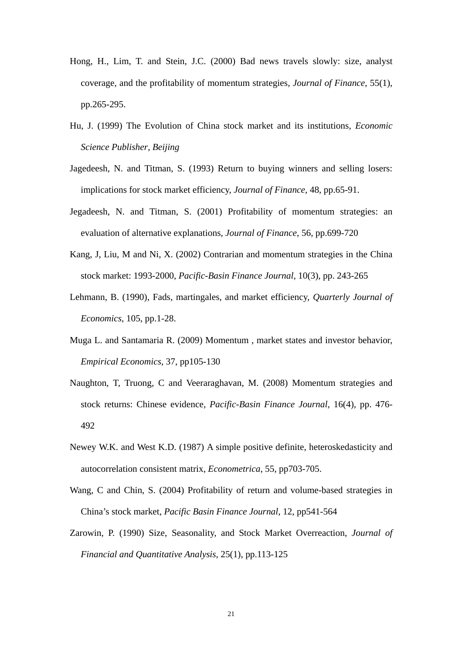- Hong, H., Lim, T. and Stein, J.C. (2000) Bad news travels slowly: size, analyst coverage, and the profitability of momentum strategies, *Journal of Finance*, 55(1), pp.265-295.
- Hu, J. (1999) The Evolution of China stock market and its institutions, *Economic Science Publisher*, *Beijing*
- Jagedeesh, N. and Titman, S. (1993) Return to buying winners and selling losers: implications for stock market efficiency, *Journal of Finance*, 48, pp.65-91.
- Jegadeesh, N. and Titman, S. (2001) Profitability of momentum strategies: an evaluation of alternative explanations, *Journal of Finance*, 56, pp.699-720
- Kang, J, Liu, M and Ni, X. (2002) Contrarian and momentum strategies in the China stock market: 1993-2000, *Pacific-Basin Finance Journal*, 10(3), pp. 243-265
- Lehmann, B. (1990), Fads, martingales, and market efficiency, *Quarterly Journal of Economics*, 105, pp.1-28.
- Muga L. and Santamaria R. (2009) Momentum , market states and investor behavior, *Empirical Economics*, 37, pp105-130
- Naughton, T, Truong, C and Veeraraghavan, M. (2008) Momentum strategies and stock returns: Chinese evidence, *Pacific-Basin Finance Journal*, 16(4), pp. 476- 492
- Newey W.K. and West K.D. (1987) A simple positive definite, heteroskedasticity and autocorrelation consistent matrix, *Econometrica*, 55, pp703-705.
- Wang, C and Chin, S. (2004) Profitability of return and volume-based strategies in China's stock market, *Pacific Basin Finance Journal*, 12, pp541-564
- Zarowin, P. (1990) Size, Seasonality, and Stock Market Overreaction, *Journal of Financial and Quantitative Analysis*, 25(1), pp.113-125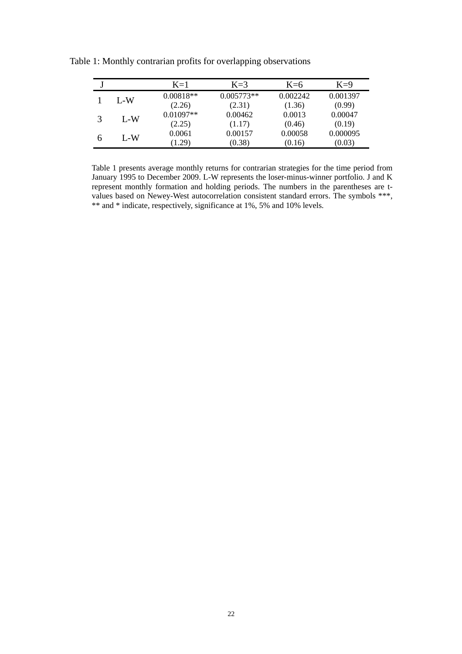|       | $K=1$       | $K=3$        | $K=6$    | $K=9$    |
|-------|-------------|--------------|----------|----------|
| L-W   | $0.00818**$ | $0.005773**$ | 0.002242 | 0.001397 |
|       | (2.26)      | (2.31)       | (1.36)   | (0.99)   |
| $L-W$ | $0.01097**$ | 0.00462      | 0.0013   | 0.00047  |
|       | (2.25)      | (1.17)       | (0.46)   | (0.19)   |
| L-W   | 0.0061      | 0.00157      | 0.00058  | 0.000095 |
|       | (1.29)      | (0.38)       | (0.16)   | (0.03)   |

Table 1: Monthly contrarian profits for overlapping observations

Table 1 presents average monthly returns for contrarian strategies for the time period from January 1995 to December 2009. L-W represents the loser-minus-winner portfolio. J and K represent monthly formation and holding periods. The numbers in the parentheses are tvalues based on Newey-West autocorrelation consistent standard errors. The symbols \*\*\*, \*\* and \* indicate, respectively, significance at 1%, 5% and 10% levels.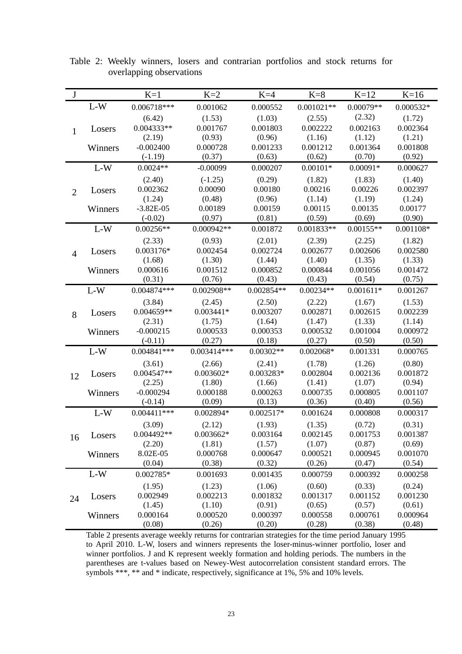| $\bf J$        |         | $K=1$         | $K=2$         | $K=4$        | $K=8$        | $K=12$      | $K=16$      |
|----------------|---------|---------------|---------------|--------------|--------------|-------------|-------------|
|                | $L-W$   | $0.006718***$ | 0.001062      | 0.000552     | $0.001021**$ | $0.00079**$ | $0.000532*$ |
|                |         | (6.42)        | (1.53)        | (1.03)       | (2.55)       | (2.32)      | (1.72)      |
| $\mathbf{1}$   | Losers  | $0.004333**$  | 0.001767      | 0.001803     | 0.002222     | 0.002163    | 0.002364    |
|                |         | (2.19)        | (0.93)        | (0.96)       | (1.16)       | (1.12)      | (1.21)      |
|                | Winners | $-0.002400$   | 0.000728      | 0.001233     | 0.001212     | 0.001364    | 0.001808    |
|                |         | $(-1.19)$     | (0.37)        | (0.63)       | (0.62)       | (0.70)      | (0.92)      |
|                | $L-W$   | $0.0024**$    | $-0.00099$    | 0.000207     | $0.00101*$   | $0.00091*$  | 0.000627    |
|                |         | (2.40)        | $(-1.25)$     | (0.29)       | (1.82)       | (1.83)      | (1.40)      |
| $\overline{2}$ | Losers  | 0.002362      | 0.00090       | 0.00180      | 0.00216      | 0.00226     | 0.002397    |
|                |         | (1.24)        | (0.48)        | (0.96)       | (1.14)       | (1.19)      | (1.24)      |
|                | Winners | $-3.82E-05$   | 0.00189       | 0.00159      | 0.00115      | 0.00135     | 0.00177     |
|                |         | $(-0.02)$     | (0.97)        | (0.81)       | (0.59)       | (0.69)      | (0.90)      |
|                | $L-W$   | $0.00256**$   | $0.000942**$  | 0.001872     | $0.001833**$ | $0.00155**$ | $0.001108*$ |
|                |         | (2.33)        | (0.93)        | (2.01)       | (2.39)       | (2.25)      | (1.82)      |
| $\overline{4}$ | Losers  | 0.003176*     | 0.002454      | 0.002724     | 0.002677     | 0.002606    | 0.002580    |
|                |         | (1.68)        | (1.30)        | (1.44)       | (1.40)       | (1.35)      | (1.33)      |
|                | Winners | 0.000616      | 0.001512      | 0.000852     | 0.000844     | 0.001056    | 0.001472    |
|                |         | (0.31)        | (0.76)        | (0.43)       | (0.43)       | (0.54)      | (0.75)      |
|                | $L-W$   | $0.004874***$ | $0.002908**$  | $0.002854**$ | $0.00234**$  | $0.001611*$ | 0.001267    |
|                |         | (3.84)        | (2.45)        | (2.50)       | (2.22)       | (1.67)      | (1.53)      |
| 8              | Losers  | $0.004659**$  | $0.003441*$   | 0.003207     | 0.002871     | 0.002615    | 0.002239    |
|                |         | (2.31)        | (1.75)        | (1.64)       | (1.47)       | (1.33)      | (1.14)      |
|                | Winners | $-0.000215$   | 0.000533      | 0.000353     | 0.000532     | 0.001004    | 0.000972    |
|                |         | $(-0.11)$     | (0.27)        | (0.18)       | (0.27)       | (0.50)      | (0.50)      |
|                | $L-W$   | $0.004841***$ | $0.003414***$ | $0.00302**$  | $0.002068*$  | 0.001331    | 0.000765    |
|                |         | (3.61)        | (2.66)        | (2.41)       | (1.78)       | (1.26)      | (0.80)      |
| 12             | Losers  | 0.004547**    | $0.003602*$   | 0.003283*    | 0.002804     | 0.002136    | 0.001872    |
|                |         | (2.25)        | (1.80)        | (1.66)       | (1.41)       | (1.07)      | (0.94)      |
|                | Winners | $-0.000294$   | 0.000188      | 0.000263     | 0.000735     | 0.000805    | 0.001107    |
|                |         | $(-0.14)$     | (0.09)        | (0.13)       | (0.36)       | (0.40)      | (0.56)      |
|                | $L-W$   | $0.004411***$ | 0.002894*     | $0.002517*$  | 0.001624     | 0.000808    | 0.000317    |
|                |         | (3.09)        | (2.12)        | (1.93)       | (1.35)       | (0.72)      | (0.31)      |
| 16             | Losers  | $0.004492**$  | $0.003662*$   | 0.003164     | 0.002145     | 0.001753    | 0.001387    |
|                |         | (2.20)        | (1.81)        | (1.57)       | (1.07)       | (0.87)      | (0.69)      |
|                | Winners | 8.02E-05      | 0.000768      | 0.000647     | 0.000521     | 0.000945    | 0.001070    |
|                |         | (0.04)        | (0.38)        | (0.32)       | (0.26)       | (0.47)      | (0.54)      |
|                | $L-W$   | 0.002785*     | 0.001693      | 0.001435     | 0.000759     | 0.000392    | 0.000258    |
|                |         | (1.95)        | (1.23)        | (1.06)       | (0.60)       | (0.33)      | (0.24)      |
| 24             | Losers  | 0.002949      | 0.002213      | 0.001832     | 0.001317     | 0.001152    | 0.001230    |
|                |         | (1.45)        | (1.10)        | (0.91)       | (0.65)       | (0.57)      | (0.61)      |
|                | Winners | 0.000164      | 0.000520      | 0.000397     | 0.000558     | 0.000761    | 0.000964    |
|                |         | (0.08)        | (0.26)        | (0.20)       | (0.28)       | (0.38)      | (0.48)      |

Table 2: Weekly winners, losers and contrarian portfolios and stock returns for overlapping observations

Table 2 presents average weekly returns for contrarian strategies for the time period January 1995 to April 2010. L-W, losers and winners represents the loser-minus-winner portfolio, loser and winner portfolios. J and K represent weekly formation and holding periods. The numbers in the parentheses are t-values based on Newey-West autocorrelation consistent standard errors. The symbols \*\*\*, \*\* and \* indicate, respectively, significance at 1%, 5% and 10% levels.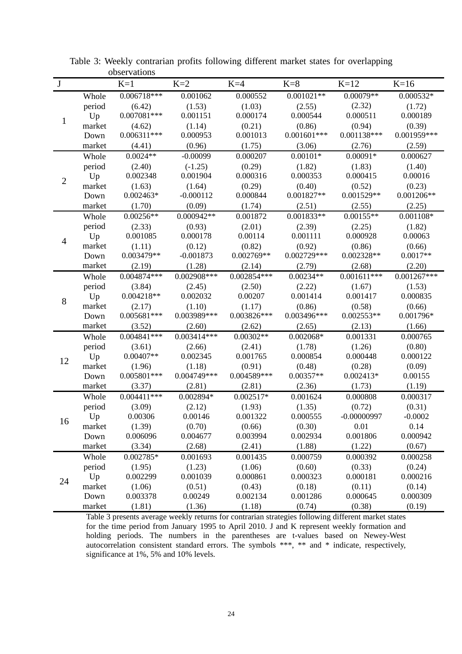| $\bf J$        |              | $K=1$              | $K=2$              | $K=4$              | $K=8$              | $K=12$                  | $K=16$             |
|----------------|--------------|--------------------|--------------------|--------------------|--------------------|-------------------------|--------------------|
|                | Whole        | $0.006718***$      | 0.001062           | 0.000552           | $0.001021**$       | $0.00079**$             | $0.000532*$        |
|                | period       | (6.42)             | (1.53)             | (1.03)             | (2.55)             | (2.32)                  | (1.72)             |
|                | Up           | $0.007081***$      | 0.001151           | 0.000174           | 0.000544           | 0.000511                | 0.000189           |
| $\mathbf{1}$   | market       | (4.62)             | (1.14)             | (0.21)             | (0.86)             | (0.94)                  | (0.39)             |
|                | Down         | $0.006311***$      | 0.000953           | 0.001013           | $0.001601***$      | $0.001138***$           | 0.001959***        |
|                | market       | (4.41)             | (0.96)             | (1.75)             | (3.06)             | (2.76)                  | (2.59)             |
|                | Whole        | $0.0024**$         | $-0.00099$         | 0.000207           | $0.00101*$         | $0.00091*$              | 0.000627           |
|                | period       | (2.40)             | $(-1.25)$          | (0.29)             | (1.82)             | (1.83)                  | (1.40)             |
| $\overline{2}$ | Up           | 0.002348           | 0.001904           | 0.000316           | 0.000353           | 0.000415                | 0.00016            |
|                | market       | (1.63)             | (1.64)             | (0.29)             | (0.40)             | (0.52)                  | (0.23)             |
|                | Down         | $0.002463*$        | $-0.000112$        | 0.000844           | 0.001827**         | $0.001529**$            | $0.001206**$       |
|                | market       | (1.70)             | (0.09)             | (1.74)             | (2.51)             | (2.55)                  | (2.25)             |
|                | Whole        | $0.00256**$        | 0.000942**         | 0.001872           | $0.001833**$       | $0.00155**$             | 0.001108*          |
|                | period       | (2.33)             | (0.93)             | (2.01)             | (2.39)             | (2.25)                  | (1.82)             |
| $\overline{4}$ | Up           | 0.001085           | 0.000178           | 0.00114            | 0.001111           | 0.000928                | 0.00063            |
|                | market       | (1.11)             | (0.12)             | (0.82)             | (0.92)             | (0.86)                  | (0.66)             |
|                | Down         | 0.003479**         | $-0.001873$        | 0.002769**         | $0.002729***$      | 0.002328**              | $0.0017**$         |
|                | market       | (2.19)             | (1.28)             | (2.14)             | (2.79)             | (2.68)                  | (2.20)             |
|                | Whole        | $0.004874***$      | $0.002908***$      | $0.002854***$      | $0.00234**$        | $0.001611***$           | $0.001267***$      |
|                | period       | (3.84)             | (2.45)             | (2.50)             | (2.22)             | (1.67)                  | (1.53)             |
| 8              | Up           | $0.004218**$       | 0.002032           | 0.00207            | 0.001414           | 0.001417                | 0.000835           |
|                | market       | (2.17)             | (1.10)             | (1.17)             | (0.86)             | (0.58)                  | (0.66)             |
|                | Down         | $0.005681***$      | 0.003989***        | $0.003826***$      | 0.003496***        | $0.002553**$            | $0.001796*$        |
|                | market       | (3.52)             | (2.60)             | (2.62)             | (2.65)             | (2.13)                  | (1.66)             |
|                | Whole        | $0.004841***$      | $0.003414***$      | $0.00302**$        | $0.002068*$        | 0.001331                | 0.000765           |
|                | period       | (3.61)             | (2.66)             | (2.41)             | (1.78)             | (1.26)                  | (0.80)             |
| 12             | Up           | $0.00407**$        | 0.002345           | 0.001765           | 0.000854           | 0.000448                | 0.000122           |
|                | market       | (1.96)             | (1.18)             | (0.91)             | (0.48)             | (0.28)                  | (0.09)             |
|                | Down         | $0.005801***$      | $0.004749***$      | 0.004589***        | 0.00357**          | 0.002413*               | 0.00155            |
|                | market       | (3.37)             | (2.81)             | (2.81)             | (2.36)             | (1.73)                  | (1.19)             |
|                | Whole        | $0.004411***$      | 0.002894*          | $0.002517*$        | 0.001624           | 0.000808                | 0.000317           |
|                | period       | (3.09)             | (2.12)             | (1.93)<br>0.001322 | (1.35)             | (0.72)<br>$-0.00000997$ | (0.31)             |
| 16             | Up<br>market | 0.00306            | 0.00146            |                    | 0.000555           |                         | $-0.0002$          |
|                | Down         | (1.39)<br>0.006096 | (0.70)<br>0.004677 | (0.66)<br>0.003994 | (0.30)<br>0.002934 | 0.01<br>0.001806        | 0.14<br>0.000942   |
|                | market       | (3.34)             | (2.68)             | (2.41)             | (1.88)             | (1.22)                  | (0.67)             |
|                | Whole        | 0.002785*          | 0.001693           | 0.001435           | 0.000759           | 0.000392                | 0.000258           |
|                | period       |                    |                    | (1.06)             |                    | (0.33)                  |                    |
|                | Up           | (1.95)<br>0.002299 | (1.23)<br>0.001039 | 0.000861           | (0.60)<br>0.000323 | 0.000181                | (0.24)<br>0.000216 |
| 24             | market       | (1.06)             | (0.51)             | (0.43)             | (0.18)             | (0.11)                  | (0.14)             |
|                | Down         | 0.003378           | 0.00249            | 0.002134           | 0.001286           | 0.000645                | 0.000309           |
|                | market       | (1.81)             | (1.36)             | (1.18)             | (0.74)             | (0.38)                  | (0.19)             |

Table 3: Weekly contrarian profits following different market states for overlapping observations

Table 3 presents average weekly returns for contrarian strategies following different market states for the time period from January 1995 to April 2010. J and K represent weekly formation and holding periods. The numbers in the parentheses are t-values based on Newey-West autocorrelation consistent standard errors. The symbols \*\*\*, \*\* and \* indicate, respectively, significance at 1%, 5% and 10% levels.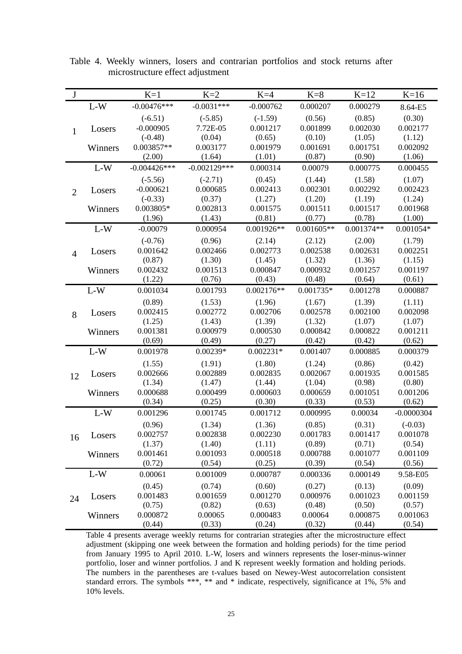| $\bf J$        |         | $K=1$          | $K=2$          | $K=4$        | $K=8$        | $K=12$       | $K=16$       |
|----------------|---------|----------------|----------------|--------------|--------------|--------------|--------------|
|                | $L-W$   | $-0.00476***$  | $-0.0031***$   | $-0.000762$  | 0.000207     | 0.000279     | 8.64-E5      |
|                |         | $(-6.51)$      | $(-5.85)$      | $(-1.59)$    | (0.56)       | (0.85)       | (0.30)       |
| $\mathbf{1}$   | Losers  | $-0.000905$    | 7.72E-05       | 0.001217     | 0.001899     | 0.002030     | 0.002177     |
|                |         | $(-0.48)$      | (0.04)         | (0.65)       | (0.10)       | (1.05)       | (1.12)       |
|                | Winners | 0.003857**     | 0.003177       | 0.001979     | 0.001691     | 0.001751     | 0.002092     |
|                |         | (2.00)         | (1.64)         | (1.01)       | (0.87)       | (0.90)       | (1.06)       |
|                | $L-W$   | $-0.004426***$ | $-0.002129***$ | 0.000314     | 0.00079      | 0.000775     | 0.000455     |
|                |         | $(-5.56)$      | $(-2.71)$      | (0.45)       | (1.44)       | (1.58)       | (1.07)       |
| $\overline{2}$ | Losers  | $-0.000621$    | 0.000685       | 0.002413     | 0.002301     | 0.002292     | 0.002423     |
|                |         | $(-0.33)$      | (0.37)         | (1.27)       | (1.20)       | (1.19)       | (1.24)       |
|                | Winners | 0.003805*      | 0.002813       | 0.001575     | 0.001511     | 0.001517     | 0.001968     |
|                |         | (1.96)         | (1.43)         | (0.81)       | (0.77)       | (0.78)       | (1.00)       |
|                | $L-W$   | $-0.00079$     | 0.000954       | $0.001926**$ | $0.001605**$ | $0.001374**$ | $0.001054*$  |
|                |         | $(-0.76)$      | (0.96)         | (2.14)       | (2.12)       | (2.00)       | (1.79)       |
| $\overline{4}$ | Losers  | 0.001642       | 0.002466       | 0.002773     | 0.002538     | 0.002631     | 0.002251     |
|                |         | (0.87)         | (1.30)         | (1.45)       | (1.32)       | (1.36)       | (1.15)       |
|                | Winners | 0.002432       | 0.001513       | 0.000847     | 0.000932     | 0.001257     | 0.001197     |
|                |         | (1.22)         | (0.76)         | (0.43)       | (0.48)       | (0.64)       | (0.61)       |
|                | $L-W$   | 0.001034       | 0.001793       | $0.002176**$ | $0.001735*$  | 0.001278     | 0.000887     |
|                |         | (0.89)         | (1.53)         | (1.96)       | (1.67)       | (1.39)       | (1.11)       |
| 8              | Losers  | 0.002415       | 0.002772       | 0.002706     | 0.002578     | 0.002100     | 0.002098     |
|                |         | (1.25)         | (1.43)         | (1.39)       | (1.32)       | (1.07)       | (1.07)       |
|                | Winners | 0.001381       | 0.000979       | 0.000530     | 0.000842     | 0.000822     | 0.001211     |
|                |         | (0.69)         | (0.49)         | (0.27)       | (0.42)       | (0.42)       | (0.62)       |
|                | $L-W$   | 0.001978       | $0.00239*$     | $0.002231*$  | 0.001407     | 0.000885     | 0.000379     |
|                |         | (1.55)         | (1.91)         | (1.80)       | (1.24)       | (0.86)       | (0.42)       |
| 12             | Losers  | 0.002666       | 0.002889       | 0.002835     | 0.002067     | 0.001935     | 0.001585     |
|                |         | (1.34)         | (1.47)         | (1.44)       | (1.04)       | (0.98)       | (0.80)       |
|                | Winners | 0.000688       | 0.000499       | 0.000603     | 0.000659     | 0.001051     | 0.001206     |
|                |         | (0.34)         | (0.25)         | (0.30)       | (0.33)       | (0.53)       | (0.62)       |
|                | $L-W$   | 0.001296       | 0.001745       | 0.001712     | 0.000995     | 0.00034      | $-0.0000304$ |
|                |         | (0.96)         | (1.34)         | (1.36)       | (0.85)       | (0.31)       | $(-0.03)$    |
| 16             | Losers  | 0.002757       | 0.002838       | 0.002230     | 0.001783     | 0.001417     | 0.001078     |
|                |         | (1.37)         | (1.40)         | (1.11)       | (0.89)       | (0.71)       | (0.54)       |
|                | Winners | 0.001461       | 0.001093       | 0.000518     | 0.000788     | 0.001077     | 0.001109     |
|                |         | (0.72)         | (0.54)         | (0.25)       | (0.39)       | (0.54)       | (0.56)       |
|                | $L-W$   | 0.00061        | 0.001009       | 0.000787     | 0.000336     | 0.000149     | 9.58-E05     |
|                |         | (0.45)         | (0.74)         | (0.60)       | (0.27)       | (0.13)       | (0.09)       |
| 24             | Losers  | 0.001483       | 0.001659       | 0.001270     | 0.000976     | 0.001023     | 0.001159     |
|                |         | (0.75)         | (0.82)         | (0.63)       | (0.48)       | (0.50)       | (0.57)       |
|                | Winners | 0.000872       | 0.00065        | 0.000483     | 0.00064      | 0.000875     | 0.001063     |
|                |         | (0.44)         | (0.33)         | (0.24)       | (0.32)       | (0.44)       | (0.54)       |

Table 4. Weekly winners, losers and contrarian portfolios and stock returns after microstructure effect adjustment

Table 4 presents average weekly returns for contrarian strategies after the microstructure effect adjustment (skipping one week between the formation and holding periods) for the time period from January 1995 to April 2010. L-W, losers and winners represents the loser-minus-winner portfolio, loser and winner portfolios. J and K represent weekly formation and holding periods. The numbers in the parentheses are t-values based on Newey-West autocorrelation consistent standard errors. The symbols \*\*\*, \*\* and \* indicate, respectively, significance at 1%, 5% and 10% levels.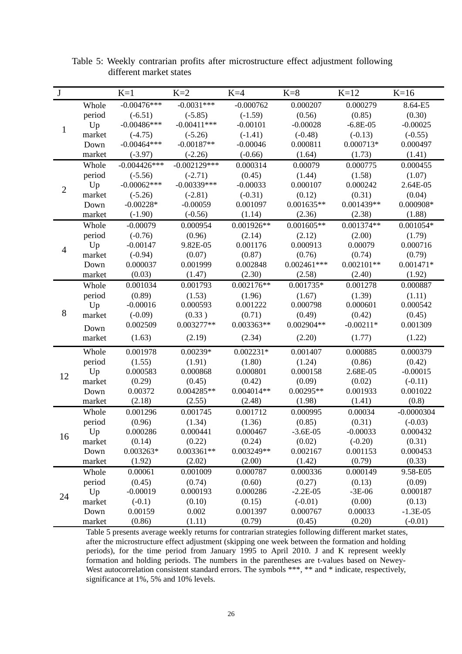| $\bf J$        |        | $K=1$          | $K=2$          | $K=4$        | $K=8$         | $K=12$       | $K=16$       |
|----------------|--------|----------------|----------------|--------------|---------------|--------------|--------------|
|                | Whole  | $-0.00476***$  | $-0.0031***$   | $-0.000762$  | 0.000207      | 0.000279     | 8.64-E5      |
|                | period | $(-6.51)$      | $(-5.85)$      | $(-1.59)$    | (0.56)        | (0.85)       | (0.30)       |
|                | Up     | $-0.00486***$  | $-0.00411***$  | $-0.00101$   | $-0.00028$    | $-6.8E-05$   | $-0.00025$   |
| $\mathbf{1}$   | market | $(-4.75)$      | $(-5.26)$      | $(-1.41)$    | $(-0.48)$     | $(-0.13)$    | $(-0.55)$    |
|                | Down   | $-0.00464***$  | $-0.00187**$   | $-0.00046$   | 0.000811      | $0.000713*$  | 0.000497     |
|                | market | $(-3.97)$      | $(-2.26)$      | $(-0.66)$    | (1.64)        | (1.73)       | (1.41)       |
|                | Whole  | $-0.004426***$ | $-0.002129***$ | 0.000314     | 0.00079       | 0.000775     | 0.000455     |
|                | period | $(-5.56)$      | $(-2.71)$      | (0.45)       | (1.44)        | (1.58)       | (1.07)       |
| $\mathbf{2}$   | Up     | $-0.00062***$  | $-0.00339***$  | $-0.00033$   | 0.000107      | 0.000242     | 2.64E-05     |
|                | market | $(-5.26)$      | $(-2.81)$      | $(-0.31)$    | (0.12)        | (0.31)       | (0.04)       |
|                | Down   | $-0.00228*$    | $-0.00059$     | 0.001097     | $0.001635**$  | $0.001439**$ | $0.000908*$  |
|                | market | $(-1.90)$      | $(-0.56)$      | (1.14)       | (2.36)        | (2.38)       | (1.88)       |
|                | Whole  | $-0.00079$     | 0.000954       | $0.001926**$ | $0.001605**$  | $0.001374**$ | $0.001054*$  |
|                | period | $(-0.76)$      | (0.96)         | (2.14)       | (2.12)        | (2.00)       | (1.79)       |
| $\overline{4}$ | Up     | $-0.00147$     | 9.82E-05       | 0.001176     | 0.000913      | 0.00079      | 0.000716     |
|                | market | $(-0.94)$      | (0.07)         | (0.87)       | (0.76)        | (0.74)       | (0.79)       |
|                | Down   | 0.000037       | 0.001999       | 0.002848     | $0.002461***$ | $0.002101**$ | $0.001471*$  |
|                | market | (0.03)         | (1.47)         | (2.30)       | (2.58)        | (2.40)       | (1.92)       |
|                | Whole  | 0.001034       | 0.001793       | $0.002176**$ | $0.001735*$   | 0.001278     | 0.000887     |
|                | period | (0.89)         | (1.53)         | (1.96)       | (1.67)        | (1.39)       | (1.11)       |
|                | Up     | $-0.00016$     | 0.000593       | 0.001222     | 0.000798      | 0.000601     | 0.000542     |
| $8\,$          | market | $(-0.09)$      | (0.33)         | (0.71)       | (0.49)        | (0.42)       | (0.45)       |
|                | Down   | 0.002509       | $0.003277**$   | 0.003363**   | $0.002904**$  | $-0.00211*$  | 0.001309     |
|                | market | (1.63)         | (2.19)         | (2.34)       | (2.20)        | (1.77)       | (1.22)       |
|                | Whole  | 0.001978       | $0.00239*$     | $0.002231*$  | 0.001407      | 0.000885     | 0.000379     |
|                | period | (1.55)         | (1.91)         | (1.80)       | (1.24)        | (0.86)       | (0.42)       |
| 12             | Up     | 0.000583       | 0.000868       | 0.000801     | 0.000158      | 2.68E-05     | $-0.00015$   |
|                | market | (0.29)         | (0.45)         | (0.42)       | (0.09)        | (0.02)       | $(-0.11)$    |
|                | Down   | 0.00372        | $0.004285**$   | $0.004014**$ | $0.00295**$   | 0.001933     | 0.001022     |
|                | market | (2.18)         | (2.55)         | (2.48)       | (1.98)        | (1.41)       | (0.8)        |
|                | Whole  | 0.001296       | 0.001745       | 0.001712     | 0.000995      | 0.00034      | $-0.0000304$ |
|                | period | (0.96)         | (1.34)         | (1.36)       | (0.85)        | (0.31)       | $(-0.03)$    |
| 16             | Up     | 0.000286       | 0.000441       | 0.000467     | $-3.6E-05$    | $-0.00033$   | 0.000432     |
|                | market | (0.14)         | (0.22)         | (0.24)       | (0.02)        | $(-0.20)$    | (0.31)       |
|                | Down   | 0.003263*      | $0.003361**$   | 0.003249**   | 0.002167      | 0.001153     | 0.000453     |
|                | market | (1.92)         | (2.02)         | (2.00)       | (1.42)        | (0.79)       | (0.33)       |
|                | Whole  | 0.00061        | 0.001009       | 0.000787     | 0.000336      | 0.000149     | 9.58-E05     |
|                | period | (0.45)         | (0.74)         | (0.60)       | (0.27)        | (0.13)       | (0.09)       |
| 24             | Up     | $-0.00019$     | 0.000193       | 0.000286     | $-2.2E-05$    | $-3E-06$     | 0.000187     |
|                | market | $(-0.1)$       | (0.10)         | (0.15)       | $(-0.01)$     | (0.00)       | (0.13)       |
|                | Down   | 0.00159        | 0.002          | 0.001397     | 0.000767      | 0.00033      | $-1.3E-05$   |
|                | market | (0.86)         | (1.11)         | (0.79)       | (0.45)        | (0.20)       | $(-0.01)$    |

 Table 5: Weekly contrarian profits after microstructure effect adjustment following different market states

Table 5 presents average weekly returns for contrarian strategies following different market states, after the microstructure effect adjustment (skipping one week between the formation and holding periods), for the time period from January 1995 to April 2010. J and K represent weekly formation and holding periods. The numbers in the parentheses are t-values based on Newey-West autocorrelation consistent standard errors. The symbols \*\*\*, \*\* and \* indicate, respectively, significance at 1%, 5% and 10% levels.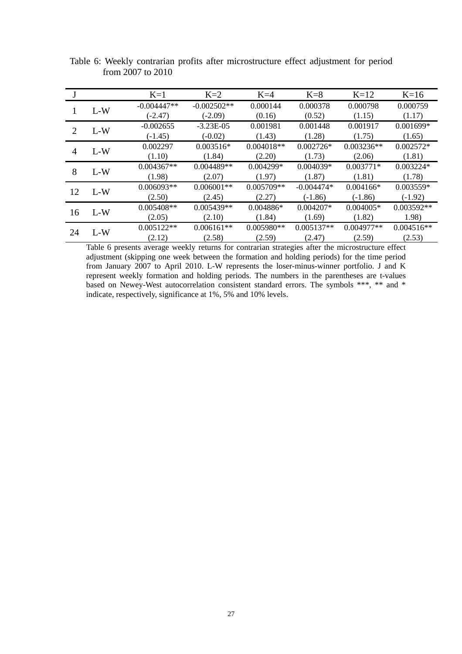|    |       | $K=1$         | $K=2$         | $K=4$        | $K=8$        | $K=12$       | $K=16$       |
|----|-------|---------------|---------------|--------------|--------------|--------------|--------------|
|    | $L-W$ | $-0.004447**$ | $-0.002502**$ | 0.000144     | 0.000378     | 0.000798     | 0.000759     |
|    |       | $(-2.47)$     | $(-2.09)$     | (0.16)       | (0.52)       | (1.15)       | (1.17)       |
| 2  | $L-W$ | $-0.002655$   | $-3.23E-05$   | 0.001981     | 0.001448     | 0.001917     | $0.001699*$  |
|    |       | $(-1.45)$     | $(-0.02)$     | (1.43)       | (1.28)       | (1.75)       | (1.65)       |
| 4  | $L-W$ | 0.002297      | $0.003516*$   | $0.004018**$ | $0.002726*$  | $0.003236**$ | $0.002572*$  |
|    |       | (1.10)        | (1.84)        | (2.20)       | (1.73)       | (2.06)       | (1.81)       |
| 8  | $L-W$ | $0.004367**$  | $0.004489**$  | $0.004299*$  | $0.004039*$  | $0.003771*$  | $0.003224*$  |
|    |       | (1.98)        | (2.07)        | (1.97)       | (1.87)       | (1.81)       | (1.78)       |
| 12 | $L-W$ | $0.006093**$  | $0.006001**$  | $0.005709**$ | $-0.004474*$ | $0.004166*$  | $0.003559*$  |
|    |       | (2.50)        | (2.45)        | (2.27)       | $(-1.86)$    | $(-1.86)$    | $(-1.92)$    |
|    | $L-W$ | $0.005408**$  | $0.005439**$  | $0.004886*$  | $0.004207*$  | $0.004005*$  | $0.003592**$ |
| 16 |       | (2.05)        | (2.10)        | (1.84)       | (1.69)       | (1.82)       | 1.98)        |
|    |       | $0.005122**$  | $0.006161**$  | 0.005980**   | $0.005137**$ | 0.004977**   | $0.004516**$ |
| 24 | $L-W$ | (2.12)        | (2.58)        | (2.59)       | (2.47)       | (2.59)       | (2.53)       |

Table 6: Weekly contrarian profits after microstructure effect adjustment for period from 2007 to 2010

Table 6 presents average weekly returns for contrarian strategies after the microstructure effect adjustment (skipping one week between the formation and holding periods) for the time period from January 2007 to April 2010. L-W represents the loser-minus-winner portfolio. J and K represent weekly formation and holding periods. The numbers in the parentheses are t-values based on Newey-West autocorrelation consistent standard errors. The symbols \*\*\*, \*\* and \* indicate, respectively, significance at 1%, 5% and 10% levels.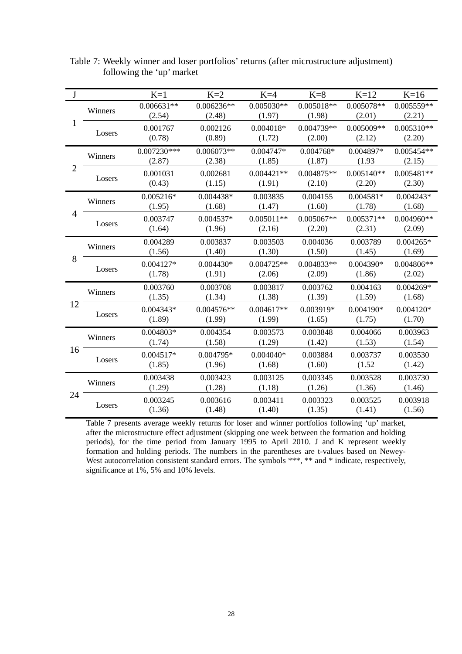| $\bf J$        |         | $K=1$                   | $K=2$                  | $K=4$                  | $K=8$                  | $K=12$                 | $K=16$                 |
|----------------|---------|-------------------------|------------------------|------------------------|------------------------|------------------------|------------------------|
|                | Winners | $0.006631**$<br>(2.54)  | $0.006236**$<br>(2.48) | $0.005030**$<br>(1.97) | $0.005018**$<br>(1.98) | 0.005078**<br>(2.01)   | 0.005559**<br>(2.21)   |
| $\mathbf{1}$   | Losers  | 0.001767<br>(0.78)      | 0.002126<br>(0.89)     | $0.004018*$<br>(1.72)  | 0.004739**<br>(2.00)   | $0.005009**$<br>(2.12) | $0.005310**$<br>(2.20) |
|                | Winners | $0.007230***$<br>(2.87) | $0.006073**$<br>(2.38) | $0.004747*$<br>(1.85)  | 0.004768*<br>(1.87)    | 0.004897*<br>(1.93)    | $0.005454**$<br>(2.15) |
| $\overline{2}$ | Losers  | 0.001031<br>(0.43)      | 0.002681<br>(1.15)     | $0.004421**$<br>(1.91) | $0.004875**$<br>(2.10) | $0.005140**$<br>(2.20) | $0.005481**$<br>(2.30) |
| 4              | Winners | $0.005216*$<br>(1.95)   | 0.004438*<br>(1.68)    | 0.003835<br>(1.47)     | 0.004155<br>(1.60)     | $0.004581*$<br>(1.78)  | $0.004243*$<br>(1.68)  |
|                | Losers  | 0.003747<br>(1.64)      | $0.004537*$<br>(1.96)  | $0.005011**$<br>(2.16) | $0.005067**$<br>(2.20) | $0.005371**$<br>(2.31) | $0.004960**$<br>(2.09) |
|                | Winners | 0.004289<br>(1.56)      | 0.003837<br>(1.40)     | 0.003503<br>(1.30)     | 0.004036<br>(1.50)     | 0.003789<br>(1.45)     | $0.004265*$<br>(1.69)  |
| 8              | Losers  | 0.004127*<br>(1.78)     | $0.004430*$<br>(1.91)  | $0.004725**$<br>(2.06) | 0.004833**<br>(2.09)   | 0.004390*<br>(1.86)    | 0.004806**<br>(2.02)   |
|                | Winners | 0.003760<br>(1.35)      | 0.003708<br>(1.34)     | 0.003817<br>(1.38)     | 0.003762<br>(1.39)     | 0.004163<br>(1.59)     | $0.004269*$<br>(1.68)  |
| 12             | Losers  | 0.004343*<br>(1.89)     | $0.004576**$<br>(1.99) | $0.004617**$<br>(1.99) | 0.003919*<br>(1.65)    | 0.004190*<br>(1.75)    | $0.004120*$<br>(1.70)  |
|                | Winners | $0.004803*$<br>(1.74)   | 0.004354<br>(1.58)     | 0.003573<br>(1.29)     | 0.003848<br>(1.42)     | 0.004066<br>(1.53)     | 0.003963<br>(1.54)     |
| 16             | Losers  | 0.004517*<br>(1.85)     | 0.004795*<br>(1.96)    | $0.004040*$<br>(1.68)  | 0.003884<br>(1.60)     | 0.003737<br>(1.52)     | 0.003530<br>(1.42)     |
|                | Winners | 0.003438<br>(1.29)      | 0.003423<br>(1.28)     | 0.003125<br>(1.18)     | 0.003345<br>(1.26)     | 0.003528<br>(1.36)     | 0.003730<br>(1.46)     |
| 24             | Losers  | 0.003245<br>(1.36)      | 0.003616<br>(1.48)     | 0.003411<br>(1.40)     | 0.003323<br>(1.35)     | 0.003525<br>(1.41)     | 0.003918<br>(1.56)     |

Table 7: Weekly winner and loser portfolios' returns (after microstructure adjustment) following the 'up' market

Table 7 presents average weekly returns for loser and winner portfolios following 'up' market, after the microstructure effect adjustment (skipping one week between the formation and holding periods), for the time period from January 1995 to April 2010. J and K represent weekly formation and holding periods. The numbers in the parentheses are t-values based on Newey-West autocorrelation consistent standard errors. The symbols \*\*\*, \*\* and \* indicate, respectively, significance at 1%, 5% and 10% levels.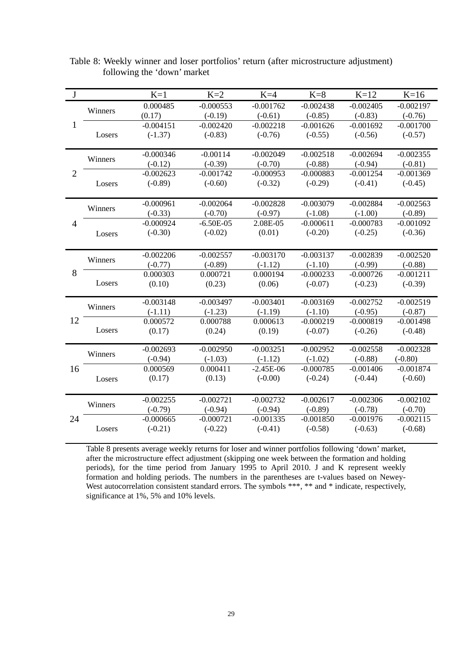| $\bf J$        |         | $K=1$       | $K=2$       | $K=4$       | $K=8$       | $K=12$      | $K=16$      |
|----------------|---------|-------------|-------------|-------------|-------------|-------------|-------------|
|                |         | 0.000485    | $-0.000553$ | $-0.001762$ | $-0.002438$ | $-0.002405$ | $-0.002197$ |
|                | Winners | (0.17)      | $(-0.19)$   | $(-0.61)$   | $(-0.85)$   | $(-0.83)$   | $(-0.76)$   |
| $\mathbf{1}$   |         | $-0.004151$ | $-0.002420$ | $-0.002218$ | $-0.001626$ | $-0.001692$ | $-0.001700$ |
|                | Losers  | $(-1.37)$   | $(-0.83)$   | $(-0.76)$   | $(-0.55)$   | $(-0.56)$   | $(-0.57)$   |
|                |         |             |             |             |             |             |             |
|                | Winners | $-0.000346$ | $-0.00114$  | $-0.002049$ | $-0.002518$ | $-0.002694$ | $-0.002355$ |
|                |         | $(-0.12)$   | $(-0.39)$   | $(-0.70)$   | $(-0.88)$   | $(-0.94)$   | $(-0.81)$   |
| $\overline{2}$ |         | $-0.002623$ | $-0.001742$ | $-0.000953$ | $-0.000883$ | $-0.001254$ | $-0.001369$ |
|                | Losers  | $(-0.89)$   | $(-0.60)$   | $(-0.32)$   | $(-0.29)$   | $(-0.41)$   | $(-0.45)$   |
|                |         |             |             |             |             |             |             |
|                | Winners | $-0.000961$ | $-0.002064$ | $-0.002828$ | $-0.003079$ | $-0.002884$ | $-0.002563$ |
|                |         | $(-0.33)$   | $(-0.70)$   | $(-0.97)$   | $(-1.08)$   | $(-1.00)$   | $(-0.89)$   |
| $\overline{4}$ |         | $-0.000924$ | $-6.50E-05$ | 2.08E-05    | $-0.000611$ | $-0.000783$ | $-0.001092$ |
|                | Losers  | $(-0.30)$   | $(-0.02)$   | (0.01)      | $(-0.20)$   | $(-0.25)$   | $(-0.36)$   |
|                |         |             |             |             |             |             |             |
|                | Winners | $-0.002206$ | $-0.002557$ | $-0.003170$ | $-0.003137$ | $-0.002839$ | $-0.002520$ |
|                |         | $(-0.77)$   | $(-0.89)$   | $(-1.12)$   | $(-1.10)$   | $(-0.99)$   | $(-0.88)$   |
| 8              |         | 0.000303    | 0.000721    | 0.000194    | $-0.000233$ | $-0.000726$ | $-0.001211$ |
|                | Losers  | (0.10)      | (0.23)      | (0.06)      | $(-0.07)$   | $(-0.23)$   | $(-0.39)$   |
|                |         |             |             |             |             |             |             |
|                | Winners | $-0.003148$ | $-0.003497$ | $-0.003401$ | $-0.003169$ | $-0.002752$ | $-0.002519$ |
|                |         | $(-1.11)$   | $(-1.23)$   | $(-1.19)$   | $(-1.10)$   | $(-0.95)$   | $(-0.87)$   |
| 12             |         | 0.000572    | 0.000788    | 0.000613    | $-0.000219$ | $-0.000819$ | $-0.001498$ |
|                | Losers  | (0.17)      | (0.24)      | (0.19)      | $(-0.07)$   | $(-0.26)$   | $(-0.48)$   |
|                |         | $-0.002693$ | $-0.002950$ | $-0.003251$ | $-0.002952$ | $-0.002558$ | $-0.002328$ |
|                | Winners | $(-0.94)$   | $(-1.03)$   | $(-1.12)$   | $(-1.02)$   | $(-0.88)$   | $(-0.80)$   |
| 16             |         | 0.000569    | 0.000411    | $-2.45E-06$ | $-0.000785$ | $-0.001406$ | $-0.001874$ |
|                | Losers  | (0.17)      | (0.13)      | $(-0.00)$   | $(-0.24)$   | $(-0.44)$   | $(-0.60)$   |
|                |         |             |             |             |             |             |             |
|                |         | $-0.002255$ | $-0.002721$ | $-0.002732$ | $-0.002617$ | $-0.002306$ | $-0.002102$ |
|                | Winners | $(-0.79)$   | $(-0.94)$   | $(-0.94)$   | $(-0.89)$   | $(-0.78)$   | $(-0.70)$   |
| 24             |         | $-0.000665$ | $-0.000721$ | $-0.001335$ | $-0.001850$ | $-0.001976$ | $-0.002115$ |
|                | Losers  | $(-0.21)$   | $(-0.22)$   | $(-0.41)$   | $(-0.58)$   | $(-0.63)$   | $(-0.68)$   |
|                |         |             |             |             |             |             |             |

Table 8: Weekly winner and loser portfolios' return (after microstructure adjustment) following the 'down' market

Table 8 presents average weekly returns for loser and winner portfolios following 'down' market, after the microstructure effect adjustment (skipping one week between the formation and holding periods), for the time period from January 1995 to April 2010. J and K represent weekly formation and holding periods. The numbers in the parentheses are t-values based on Newey-West autocorrelation consistent standard errors. The symbols \*\*\*, \*\* and \* indicate, respectively, significance at 1%, 5% and 10% levels.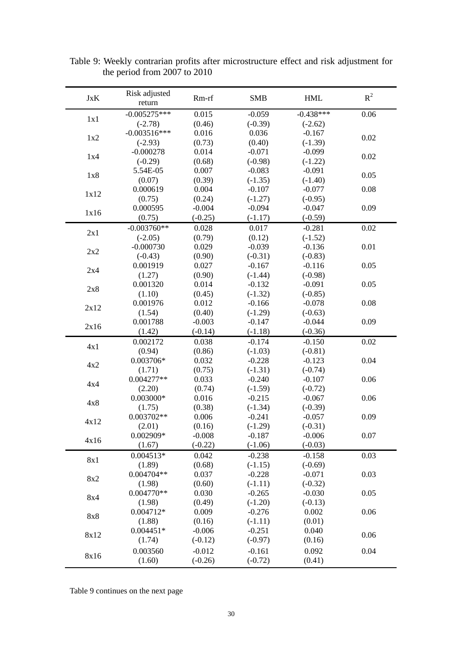| JxK  | Risk adjusted<br>return | Rm-rf           | <b>SMB</b>            | <b>HML</b>            | $R^2$ |
|------|-------------------------|-----------------|-----------------------|-----------------------|-------|
|      | $-0.005275***$          | 0.015           | $-0.059$              | $-0.438***$           | 0.06  |
| 1x1  | $(-2.78)$               | (0.46)          | $(-0.39)$             | $(-2.62)$             |       |
|      | $-0.003516***$          | 0.016           | 0.036                 | $-0.167$              |       |
| 1x2  | $(-2.93)$               | (0.73)          | (0.40)                | $(-1.39)$             | 0.02  |
|      | $-0.000278$             | 0.014           | $-0.071$              | $-0.099$              |       |
| 1x4  | $(-0.29)$               | (0.68)          | $(-0.98)$             | $(-1.22)$             | 0.02  |
|      | 5.54E-05                | 0.007           | $-0.083$              | $-0.091$              |       |
| 1x8  | (0.07)                  | (0.39)          | $(-1.35)$             | $(-1.40)$             | 0.05  |
| 1x12 | 0.000619                | 0.004           | $-0.107$              | $-0.077$              | 0.08  |
|      | (0.75)                  | (0.24)          | $(-1.27)$             | $(-0.95)$             |       |
| 1x16 | 0.000595                | $-0.004$        | $-0.094$              | $-0.047$              | 0.09  |
|      | (0.75)                  | $(-0.25)$       | $(-1.17)$             | $(-0.59)$             |       |
| 2x1  | $-0.003760**$           | 0.028           | 0.017                 | $-0.281$              | 0.02  |
|      | $(-2.05)$               | (0.79)          | (0.12)                | $(-1.52)$             |       |
| 2x2  | $-0.000730$             | 0.029           | $-0.039$              | $-0.136$              | 0.01  |
|      | $(-0.43)$               | (0.90)          | $(-0.31)$             | $(-0.83)$             |       |
| 2x4  | 0.001919                | 0.027           | $-0.167$              | $-0.116$              | 0.05  |
|      | (1.27)                  | (0.90)          | $(-1.44)$             | $(-0.98)$             |       |
| 2x8  | 0.001320                | 0.014           | $-0.132$              | $-0.091$              | 0.05  |
|      | (1.10)                  | (0.45)          | $(-1.32)$             | $(-0.85)$             |       |
| 2x12 | 0.001976                | 0.012           | $-0.166$              | $-0.078$              | 0.08  |
|      | (1.54)                  | (0.40)          | $(-1.29)$             | $(-0.63)$             |       |
| 2x16 | 0.001788                | $-0.003$        | $-0.147$              | $-0.044$              | 0.09  |
|      | (1.42)                  | $(-0.14)$       | $(-1.18)$             | $(-0.36)$             |       |
| 4x1  | 0.002172                | 0.038           | $-0.174$              | $-0.150$              | 0.02  |
|      | (0.94)                  | (0.86)          | $(-1.03)$             | $(-0.81)$             |       |
| 4x2  | 0.003706*               | 0.032           | $-0.228$              | $-0.123$              | 0.04  |
|      | (1.71)                  | (0.75)          | $(-1.31)$             | $(-0.74)$             |       |
| 4x4  | 0.004277**              | 0.033           | $-0.240$              | $-0.107$              | 0.06  |
|      | (2.20)                  | (0.74)          | $(-1.59)$             | $(-0.72)$             |       |
| 4x8  | $0.003000*$             | 0.016           | $-0.215$              | $-0.067$              | 0.06  |
|      | (1.75)                  | (0.38)          | $(-1.34)$             | $(-0.39)$             |       |
| 4x12 | $0.003702**$            | 0.006           | $-0.241$              | $-0.057$              | 0.09  |
|      | (2.01)                  | (0.16)          | $(-1.29)$             | $(-0.31)$<br>$-0.006$ |       |
| 4x16 | 0.002909*               | $-0.008$        | $-0.187$              |                       | 0.07  |
|      | (1.67)                  | $(-0.22)$       | $(-1.06)$             | $(-0.03)$             |       |
| 8x1  | $0.004513*$             | 0.042           | $-0.238$              | $-0.158$              | 0.03  |
|      | (1.89)<br>$0.004704**$  | (0.68)          | $(-1.15)$             | $(-0.69)$             |       |
| 8x2  |                         | 0.037           | $-0.228$              | $-0.071$<br>$(-0.32)$ | 0.03  |
|      | (1.98)<br>$0.004770**$  | (0.60)<br>0.030 | $(-1.11)$<br>$-0.265$ | $-0.030$              | 0.05  |
| 8x4  | (1.98)                  | (0.49)          | $(-1.20)$             | $(-0.13)$             |       |
|      | 0.004712*               | 0.009           | $-0.276$              | 0.002                 | 0.06  |
| 8x8  | (1.88)                  | (0.16)          | $(-1.11)$             | (0.01)                |       |
|      | $0.004451*$             | $-0.006$        | $-0.251$              | 0.040                 |       |
| 8x12 | (1.74)                  | $(-0.12)$       | $(-0.97)$             | (0.16)                | 0.06  |
|      |                         |                 |                       |                       |       |
| 8x16 | 0.003560                | $-0.012$        | $-0.161$              | 0.092                 | 0.04  |
|      | (1.60)                  | $(-0.26)$       | $(-0.72)$             | (0.41)                |       |

Table 9: Weekly contrarian profits after microstructure effect and risk adjustment for the period from 2007 to 2010

Table 9 continues on the next page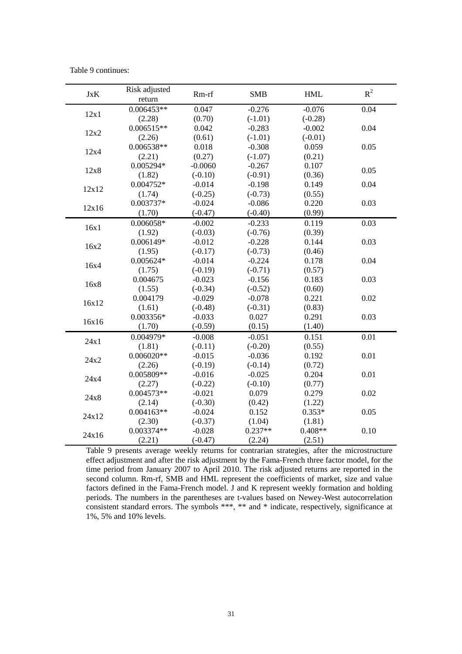Table 9 continues:

| <b>JxK</b> | Risk adjusted<br>return | $Rm-rf$   | <b>SMB</b> | <b>HML</b> | $R^2$ |
|------------|-------------------------|-----------|------------|------------|-------|
|            | $0.006453**$            | 0.047     | $-0.276$   | $-0.076$   | 0.04  |
| 12x1       | (2.28)                  | (0.70)    | $(-1.01)$  | $(-0.28)$  |       |
|            | $0.006515**$            | 0.042     | $-0.283$   | $-0.002$   | 0.04  |
| 12x2       | (2.26)                  | (0.61)    | $(-1.01)$  | $(-0.01)$  |       |
| 12x4       | 0.006538**              | 0.018     | $-0.308$   | 0.059      | 0.05  |
|            | (2.21)                  | (0.27)    | $(-1.07)$  | (0.21)     |       |
| 12x8       | 0.005294*               | $-0.0060$ | $-0.267$   | 0.107      | 0.05  |
|            | (1.82)                  | $(-0.10)$ | $(-0.91)$  | (0.36)     |       |
| 12x12      | 0.004752*               | $-0.014$  | $-0.198$   | 0.149      | 0.04  |
|            | (1.74)                  | $(-0.25)$ | $(-0.73)$  | (0.55)     |       |
| 12x16      | 0.003737*               | $-0.024$  | $-0.086$   | 0.220      | 0.03  |
|            | (1.70)                  | $(-0.47)$ | $(-0.40)$  | (0.99)     |       |
| 16x1       | $0.006058*$             | $-0.002$  | $-0.233$   | 0.119      | 0.03  |
|            | (1.92)                  | $(-0.03)$ | $(-0.76)$  | (0.39)     |       |
| 16x2       | 0.006149*               | $-0.012$  | $-0.228$   | 0.144      | 0.03  |
|            | (1.95)                  | $(-0.17)$ | $(-0.73)$  | (0.46)     |       |
| 16x4       | 0.005624*               | $-0.014$  | $-0.224$   | 0.178      | 0.04  |
|            | (1.75)                  | $(-0.19)$ | $(-0.71)$  | (0.57)     |       |
| 16x8       | 0.004675                | $-0.023$  | $-0.156$   | 0.183      | 0.03  |
|            | (1.55)                  | $(-0.34)$ | $(-0.52)$  | (0.60)     |       |
| 16x12      | 0.004179                | $-0.029$  | $-0.078$   | 0.221      | 0.02  |
|            | (1.61)                  | $(-0.48)$ | $(-0.31)$  | (0.83)     |       |
| 16x16      | 0.003356*               | $-0.033$  | 0.027      | 0.291      | 0.03  |
|            | (1.70)                  | $(-0.59)$ | (0.15)     | (1.40)     |       |
| 24x1       | 0.004979*               | $-0.008$  | $-0.051$   | 0.151      | 0.01  |
|            | (1.81)                  | $(-0.11)$ | $(-0.20)$  | (0.55)     |       |
| 24x2       | $0.006020**$            | $-0.015$  | $-0.036$   | 0.192      | 0.01  |
|            | (2.26)                  | $(-0.19)$ | $(-0.14)$  | (0.72)     |       |
| 24x4       | 0.005809**              | $-0.016$  | $-0.025$   | 0.204      | 0.01  |
|            | (2.27)                  | $(-0.22)$ | $(-0.10)$  | (0.77)     |       |
| 24x8       | 0.004573**              | $-0.021$  | 0.079      | 0.279      | 0.02  |
|            | (2.14)                  | $(-0.30)$ | (0.42)     | (1.22)     |       |
| 24x12      | $0.004163**$            | $-0.024$  | 0.152      | $0.353*$   | 0.05  |
|            | (2.30)                  | $(-0.37)$ | (1.04)     | (1.81)     |       |
|            | 0.003374**              | $-0.028$  | $0.237**$  | $0.408**$  | 0.10  |
| 24x16      | (2.21)                  | $(-0.47)$ | (2.24)     | (2.51)     |       |

Table 9 presents average weekly returns for contrarian strategies, after the microstructure effect adjustment and after the risk adjustment by the Fama-French three factor model, for the time period from January 2007 to April 2010. The risk adjusted returns are reported in the second column. Rm-rf, SMB and HML represent the coefficients of market, size and value factors defined in the Fama-French model. J and K represent weekly formation and holding periods. The numbers in the parentheses are t-values based on Newey-West autocorrelation consistent standard errors. The symbols \*\*\*, \*\* and \* indicate, respectively, significance at 1%, 5% and 10% levels.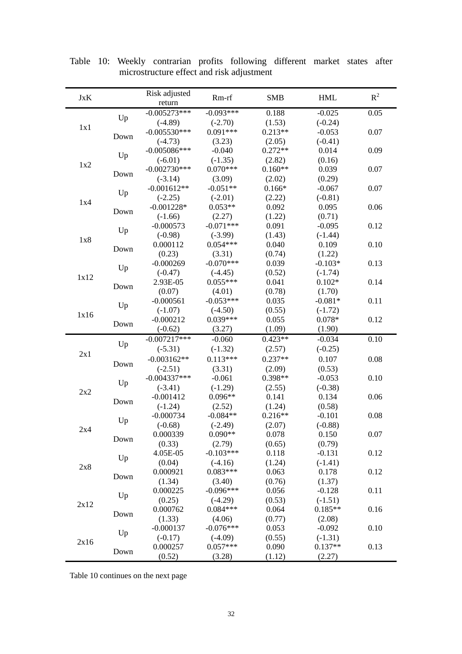| $-0.005273***$<br>$-0.093***$<br>0.188                       |                  |
|--------------------------------------------------------------|------------------|
|                                                              | 0.05<br>$-0.025$ |
| Up<br>$(-4.89)$<br>$(-2.70)$<br>(1.53)<br>$(-0.24)$          |                  |
| 1x1<br>$-0.005530***$<br>$0.091***$<br>$0.213**$<br>$-0.053$ | 0.07             |
| Down<br>$(-4.73)$<br>(3.23)<br>(2.05)<br>$(-0.41)$           |                  |
| $-0.005086***$<br>$0.272**$<br>$-0.040$<br>0.014             | 0.09             |
| Up<br>$(-1.35)$<br>$(-6.01)$<br>(2.82)<br>(0.16)             |                  |
| 1x2<br>$0.070***$<br>$0.160**$<br>$-0.002730***$<br>0.039    | 0.07             |
| Down<br>$(-3.14)$<br>(3.09)<br>(2.02)<br>(0.29)              |                  |
| $-0.051**$<br>$-0.001612**$<br>$0.166*$<br>$-0.067$          | 0.07             |
| Up<br>$(-2.25)$<br>$(-2.01)$<br>(2.22)<br>$(-0.81)$          |                  |
| 1x4<br>$0.053**$<br>$-0.001228*$<br>0.092<br>0.095           | 0.06             |
| Down<br>(1.22)<br>$(-1.66)$<br>(2.27)<br>(0.71)              |                  |
| $-0.071***$<br>0.091<br>$-0.000573$<br>$-0.095$              | 0.12             |
| Up<br>$(-0.98)$<br>$(-3.99)$<br>(1.43)<br>$(-1.44)$          |                  |
| 1x8<br>$0.054***$<br>0.000112<br>0.040<br>0.109              | 0.10             |
| Down<br>(0.23)<br>(3.31)<br>(0.74)<br>(1.22)                 |                  |
| $-0.070***$<br>$-0.000269$<br>0.039<br>$-0.103*$             | 0.13             |
| Up<br>$(-0.47)$<br>$(-4.45)$<br>(0.52)<br>$(-1.74)$          |                  |
| 1x12<br>$0.055***$<br>0.041<br>$0.102*$<br>2.93E-05          | 0.14             |
| Down<br>(0.07)<br>(4.01)<br>(0.78)<br>(1.70)                 |                  |
| $-0.053***$<br>$-0.000561$<br>0.035<br>$-0.081*$             | 0.11             |
| Up<br>$(-4.50)$<br>(0.55)<br>$(-1.07)$<br>$(-1.72)$          |                  |
| 1x16<br>$0.039***$<br>$-0.000212$<br>0.055<br>$0.078*$       | 0.12             |
| Down<br>$(-0.62)$<br>(3.27)<br>(1.09)<br>(1.90)              |                  |
| $-0.007217***$<br>$-0.060$<br>$0.423**$<br>$-0.034$          | 0.10             |
| Up<br>$(-1.32)$<br>$(-0.25)$<br>$(-5.31)$<br>(2.57)          |                  |
| 2x1<br>$0.113***$<br>$-0.003162**$<br>$0.237**$<br>0.107     | 0.08             |
| Down<br>$(-2.51)$<br>(3.31)<br>(2.09)<br>(0.53)              |                  |
| $-0.004337***$<br>0.398**<br>$-0.061$<br>$-0.053$            | 0.10             |
| Up<br>$(-3.41)$<br>$(-1.29)$<br>(2.55)<br>$(-0.38)$          |                  |
| 2x2<br>$0.096**$<br>$-0.001412$<br>0.141<br>0.134            | 0.06             |
| Down<br>(2.52)<br>(0.58)<br>$(-1.24)$<br>(1.24)              |                  |
| $0.216**$<br>$-0.000734$<br>$-0.084**$<br>$-0.101$           | 0.08             |
| Up<br>$(-0.68)$<br>$(-2.49)$<br>(2.07)<br>$(-0.88)$          |                  |
| 2x4<br>0.078<br>0.000339<br>$0.090**$<br>0.150               | 0.07             |
| Down<br>(0.33)<br>(2.79)<br>(0.79)<br>(0.65)                 |                  |
| $-0.103***$<br>4.05E-05<br>0.118<br>$-0.131$                 | 0.12             |
| Up<br>(0.04)<br>$(-4.16)$<br>(1.24)<br>$(-1.41)$             |                  |
| 2x8<br>$0.083***$<br>0.000921<br>0.063<br>0.178              | 0.12             |
| Down<br>(1.34)<br>(0.76)<br>(1.37)<br>(3.40)                 |                  |
| $-0.096***$<br>0.000225<br>0.056<br>$-0.128$                 | 0.11             |
| Up<br>(0.25)<br>$(-4.29)$<br>(0.53)<br>$(-1.51)$             |                  |
| 2x12<br>$0.084***$<br>0.000762<br>0.064<br>$0.185**$         | 0.16             |
| Down<br>(1.33)<br>(4.06)<br>(0.77)<br>(2.08)                 |                  |
| $-0.076***$<br>$-0.000137$<br>0.053<br>$-0.092$              | 0.10             |
| Up<br>$(-1.31)$<br>$(-0.17)$<br>$(-4.09)$<br>(0.55)          |                  |
| 2x16<br>$0.057***$<br>$0.137**$<br>0.000257<br>0.090         | 0.13             |
| Down<br>(0.52)<br>(3.28)<br>(1.12)<br>(2.27)                 |                  |

Table 10: Weekly contrarian profits following different market states after microstructure effect and risk adjustment

Table 10 continues on the next page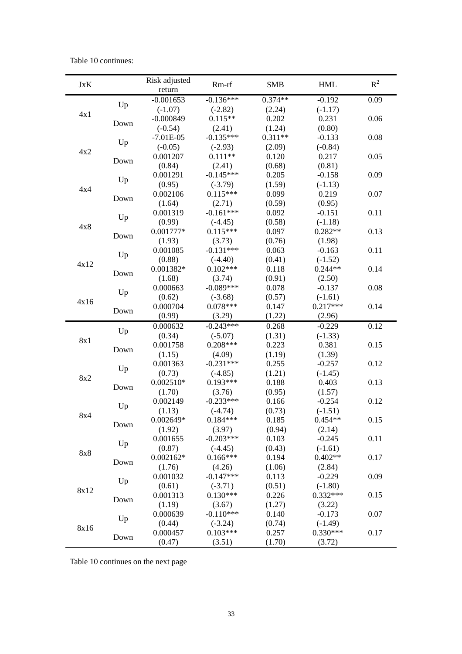Table 10 continues:

| <b>JxK</b> |      | Risk adjusted<br>return | Rm-rf                 | <b>SMB</b>      | <b>HML</b>            | $R^2$ |
|------------|------|-------------------------|-----------------------|-----------------|-----------------------|-------|
|            |      | $-0.001653$             | $-0.136***$           | $0.374**$       | $-0.192$              | 0.09  |
|            | Up   | $(-1.07)$               | $(-2.82)$             | (2.24)          | $(-1.17)$             |       |
| 4x1        |      | $-0.000849$             | $0.115**$             | 0.202           | 0.231                 | 0.06  |
|            | Down | $(-0.54)$               | (2.41)                | (1.24)          | (0.80)                |       |
|            |      | $-7.01E-05$             | $-0.135***$           | $0.311**$       | $-0.133$              | 0.08  |
|            | Up   | $(-0.05)$               | $(-2.93)$             | (2.09)          | $(-0.84)$             |       |
| 4x2        |      | 0.001207                | $0.111**$             | 0.120           | 0.217                 | 0.05  |
|            | Down | (0.84)                  | (2.41)                | (0.68)          | (0.81)                |       |
|            |      | 0.001291                | $-0.145***$           | 0.205           | $-0.158$              | 0.09  |
|            | Up   | (0.95)                  | $(-3.79)$             | (1.59)          | $(-1.13)$             |       |
| 4x4        |      | 0.002106                | $0.115***$            | 0.099           | 0.219                 | 0.07  |
|            | Down | (1.64)                  | (2.71)                | (0.59)          | (0.95)                |       |
|            |      | 0.001319                | $-0.161***$           | 0.092           | $-0.151$              | 0.11  |
| 4x8        | Up   | (0.99)                  | $(-4.45)$             | (0.58)          | $(-1.18)$             |       |
|            | Down | 0.001777*               | $0.115***$            | 0.097           | $0.282**$             | 0.13  |
|            |      | (1.93)                  | (3.73)                | (0.76)          | (1.98)                |       |
|            |      | 0.001085                | $-0.131***$           | 0.063           | $-0.163$              | 0.11  |
| 4x12       | Up   | (0.88)                  | $(-4.40)$             | (0.41)          | $(-1.52)$             |       |
|            | Down | 0.001382*               | $0.102***$            | 0.118           | $0.244**$             | 0.14  |
|            |      | (1.68)                  | (3.74)                | (0.91)          | (2.50)                |       |
|            | Up   | 0.000663                | $-0.089***$           | 0.078           | $-0.137$              | 0.08  |
| 4x16       |      | (0.62)                  | $(-3.68)$             | (0.57)          | $(-1.61)$             |       |
|            | Down | 0.000704                | $0.078***$            | 0.147           | $0.217***$            | 0.14  |
|            |      | (0.99)                  | (3.29)                | (1.22)          | (2.96)                |       |
|            | Up   | 0.000632                | $-0.243***$           | 0.268           | $-0.229$              | 0.12  |
| 8x1        |      | (0.34)                  | $(-5.07)$             | (1.31)          | $(-1.33)$             |       |
|            | Down | 0.001758                | $0.208***$            | 0.223           | 0.381                 | 0.15  |
|            |      | (1.15)                  | (4.09)                | (1.19)          | (1.39)                |       |
|            | Up   | 0.001363                | $-0.231***$           | 0.255           | $-0.257$              | 0.12  |
| 8x2        |      | (0.73)                  | $(-4.85)$             | (1.21)          | $(-1.45)$             |       |
|            | Down | $0.002510*$             | $0.193***$            | 0.188           | 0.403                 | 0.13  |
|            |      | (1.70)                  | (3.76)                | (0.95)          | (1.57)                |       |
|            | Up   | 0.002149                | $-0.233***$           | 0.166           | $-0.254$              | 0.12  |
| 8x4        |      | (1.13)                  | $(-4.74)$             | (0.73)          | $(-1.51)$             |       |
|            | Down | 0.002649*               | $0.184***$            | 0.185           | $0.454**$             | 0.15  |
|            |      | (1.92)                  | (3.97)                | (0.94)          | (2.14)                |       |
|            | Up   | 0.001655                | $-0.203***$           | 0.103           | $-0.245$              | 0.11  |
| 8x8        |      | (0.87)                  | $(-4.45)$             | (0.43)          | $(-1.61)$             |       |
|            | Down | $0.002162*$             | $0.166***$            | 0.194           | $0.402**$             | 0.17  |
|            |      | (1.76)                  | (4.26)                | (1.06)          | (2.84)                |       |
|            | Up   | 0.001032                | $-0.147***$           | 0.113           | $-0.229$              | 0.09  |
| 8x12       |      | (0.61)                  | $(-3.71)$             | (0.51)          | $(-1.80)$             |       |
|            | Down | 0.001313                | $0.130***$            | 0.226           | $0.332***$            | 0.15  |
|            |      | (1.19)<br>0.000639      | (3.67)<br>$-0.110***$ | (1.27)<br>0.140 | (3.22)                | 0.07  |
|            | Up   | (0.44)                  | $(-3.24)$             | (0.74)          | $-0.173$<br>$(-1.49)$ |       |
| 8x16       |      | 0.000457                | $0.103***$            | 0.257           | $0.330***$            | 0.17  |
|            | Down | (0.47)                  | (3.51)                | (1.70)          | (3.72)                |       |

Table 10 continues on the next page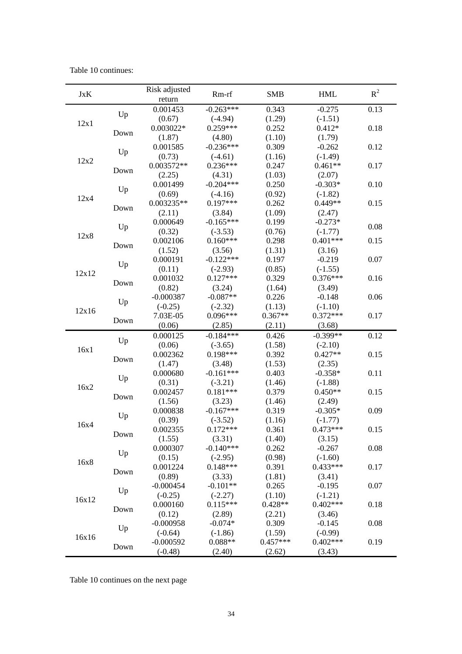Table 10 continues:

| <b>JxK</b> |                          | Risk adjusted      | Rm-rf                   | <b>SMB</b>          | <b>HML</b>              | $R^2$ |
|------------|--------------------------|--------------------|-------------------------|---------------------|-------------------------|-------|
|            |                          | return             |                         |                     |                         |       |
| 12x1       | Up                       | 0.001453           | $-0.263***$             | 0.343               | $-0.275$                | 0.13  |
|            |                          | (0.67)             | $(-4.94)$               | (1.29)              | $(-1.51)$               |       |
|            | Down                     | 0.003022*          | $0.259***$              | 0.252               | $0.412*$                | 0.18  |
|            |                          | (1.87)             | (4.80)                  | (1.10)              | (1.79)                  |       |
| 12x2       | Up<br>Down<br>Up<br>Down | 0.001585           | $-0.236***$             | 0.309               | $-0.262$                | 0.12  |
|            |                          | (0.73)             | $(-4.61)$               | (1.16)              | $(-1.49)$               |       |
|            |                          | $0.003572**$       | $0.236***$              | 0.247               | $0.461**$               | 0.17  |
|            |                          | (2.25)             | (4.31)                  | (1.03)              | (2.07)                  |       |
| 12x4       |                          | 0.001499           | $-0.204***$             | 0.250               | $-0.303*$               | 0.10  |
|            |                          | (0.69)             | $(-4.16)$               | (0.92)              | $(-1.82)$               |       |
|            |                          | $0.003235**$       | $0.197***$              | 0.262               | $0.449**$               | 0.15  |
|            |                          | (2.11)             | (3.84)                  | (1.09)              | (2.47)                  |       |
| 12x8       | Up<br>Down               | 0.000649           | $-0.165***$             | 0.199               | $-0.273*$               | 0.08  |
|            |                          | (0.32)             | $(-3.53)$               | (0.76)              | $(-1.77)$               |       |
|            |                          | 0.002106           | $0.160***$              | 0.298               | $0.401***$              | 0.15  |
|            |                          | (1.52)             | (3.56)                  | (1.31)              | (3.16)                  |       |
|            | Up<br>Down               | 0.000191           | $-0.122***$             | 0.197               | $-0.219$                | 0.07  |
| 12x12      |                          | (0.11)             | $(-2.93)$<br>$0.127***$ | (0.85)<br>0.329     | $(-1.55)$<br>$0.376***$ |       |
|            |                          | 0.001032           |                         |                     |                         | 0.16  |
|            |                          | (0.82)             | (3.24)                  | (1.64)              | (3.49)<br>$-0.148$      |       |
|            | Up<br>Down               | $-0.000387$        | $-0.087**$              | 0.226               |                         | 0.06  |
| 12x16      |                          | $(-0.25)$          | $(-2.32)$<br>$0.096***$ | (1.13)<br>$0.367**$ | $(-1.10)$<br>$0.372***$ | 0.17  |
|            |                          | 7.03E-05           |                         |                     |                         |       |
|            |                          | (0.06)             | (2.85)<br>$-0.184***$   | (2.11)              | (3.68)                  |       |
|            | Up                       | 0.000125           |                         | 0.426               | $-0.399**$              | 0.12  |
| 16x1       | Down                     | (0.06)             | $(-3.65)$<br>$0.198***$ | (1.58)              | $(-2.10)$<br>$0.427**$  |       |
|            |                          | 0.002362           |                         | 0.392               |                         | 0.15  |
|            |                          | (1.47)<br>0.000680 | (3.48)<br>$-0.161***$   | (1.53)<br>0.403     | (2.35)<br>$-0.358*$     | 0.11  |
|            | Up                       |                    |                         |                     |                         |       |
| 16x2       | Down                     | (0.31)<br>0.002457 | $(-3.21)$<br>$0.181***$ | (1.46)<br>0.379     | $(-1.88)$<br>$0.450**$  | 0.15  |
|            |                          | (1.56)             | (3.23)                  | (1.46)              | (2.49)                  |       |
|            |                          | 0.000838           | $-0.167***$             | 0.319               | $-0.305*$               | 0.09  |
| 16x4       | Up<br>Down               | (0.39)             | $(-3.52)$               | (1.16)              | $(-1.77)$               |       |
|            |                          | 0.002355           | $0.172***$              | 0.361               | $0.473***$              | 0.15  |
|            |                          | (1.55)             | (3.31)                  | (1.40)              | (3.15)                  |       |
|            |                          | 0.000307           | $-0.140***$             | 0.262               | $-0.267$                | 0.08  |
| 16x8       | Up                       | (0.15)             | $(-2.95)$               | (0.98)              | $(-1.60)$               |       |
|            | Down                     | 0.001224           | $0.148***$              | 0.391               | $0.433***$              | 0.17  |
|            |                          | (0.89)             | (3.33)                  | (1.81)              | (3.41)                  |       |
| 16x12      | Up                       | $-0.000454$        | $-0.101**$              | 0.265               | $-0.195$                | 0.07  |
|            |                          | $(-0.25)$          | $(-2.27)$               | (1.10)              | $(-1.21)$               |       |
|            | Down                     | 0.000160           | $0.115***$              | $0.428**$           | $0.402***$              | 0.18  |
|            |                          | (0.12)             | (2.89)                  | (2.21)              | (3.46)                  |       |
| 16x16      | Up                       | $-0.000958$        | $-0.074*$               | 0.309               | $-0.145$                | 0.08  |
|            |                          | $(-0.64)$          | $(-1.86)$               | (1.59)              | $(-0.99)$               |       |
|            | Down                     | $-0.000592$        | $0.088**$               | $0.457***$          | $0.402***$              | 0.19  |
|            |                          | $(-0.48)$          | (2.40)                  | (2.62)              | (3.43)                  |       |

Table 10 continues on the next page